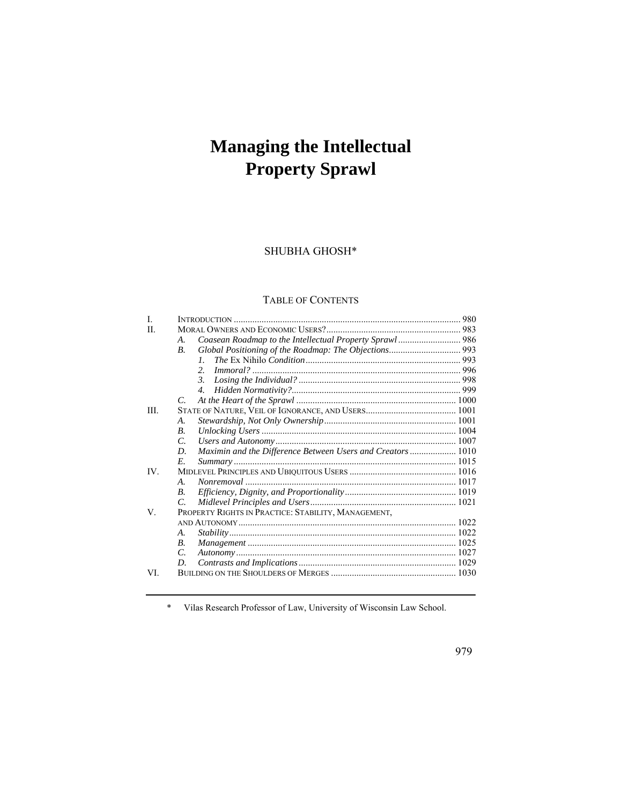# **Managing the Intellectual Property Sprawl**

SHUBHA GHOSH\*

# TABLE OF CONTENTS

| L    |                                                                   |  |
|------|-------------------------------------------------------------------|--|
| H    |                                                                   |  |
|      | А.                                                                |  |
|      | <b>B</b> .                                                        |  |
|      | $\mathcal{I}$                                                     |  |
|      | $\mathfrak{D}$                                                    |  |
|      | 3.                                                                |  |
|      | 4.                                                                |  |
|      | C.                                                                |  |
| III. |                                                                   |  |
|      | А.                                                                |  |
|      | <b>B.</b>                                                         |  |
|      | C.                                                                |  |
|      | Maximin and the Difference Between Users and Creators  1010<br>D. |  |
|      | E.                                                                |  |
| IV.  |                                                                   |  |
|      | A.                                                                |  |
|      | <b>B.</b>                                                         |  |
|      | C.                                                                |  |
| V.   | PROPERTY RIGHTS IN PRACTICE: STABILITY, MANAGEMENT,               |  |
|      |                                                                   |  |
|      | A.                                                                |  |
|      | В.                                                                |  |
|      | C.                                                                |  |
|      | D.                                                                |  |
| VI.  |                                                                   |  |

\* Vilas Research Professor of Law, University of Wisconsin Law School.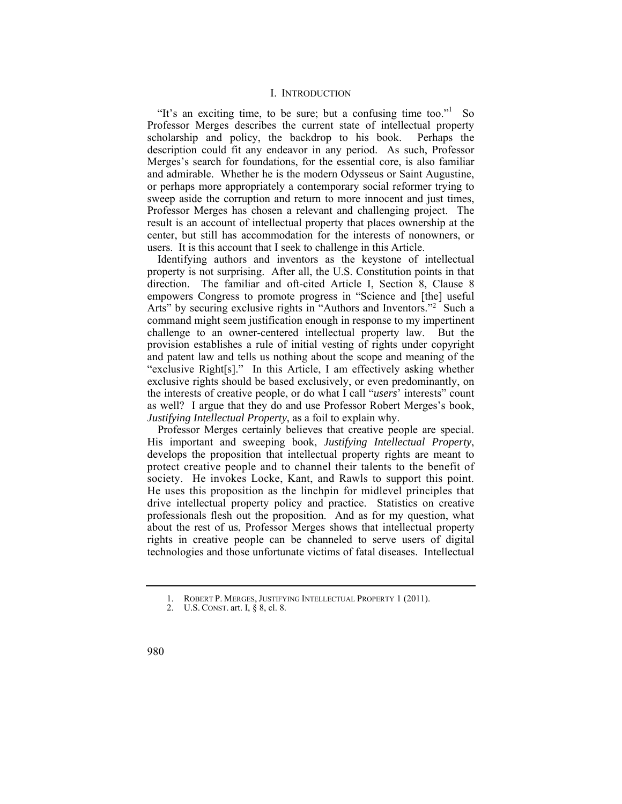## I. INTRODUCTION

 description could fit any endeavor in any period. As such, Professor "It's an exciting time, to be sure; but a confusing time too."<sup>1</sup> So Professor Merges describes the current state of intellectual property scholarship and policy, the backdrop to his book. Perhaps the Merges's search for foundations, for the essential core, is also familiar and admirable. Whether he is the modern Odysseus or Saint Augustine, or perhaps more appropriately a contemporary social reformer trying to sweep aside the corruption and return to more innocent and just times, Professor Merges has chosen a relevant and challenging project. The result is an account of intellectual property that places ownership at the center, but still has accommodation for the interests of nonowners, or users. It is this account that I seek to challenge in this Article.

Identifying authors and inventors as the keystone of intellectual property is not surprising. After all, the U.S. Constitution points in that direction. The familiar and oft-cited Article I, Section 8, Clause 8 empowers Congress to promote progress in "Science and [the] useful Arts" by securing exclusive rights in "Authors and Inventors."<sup>2</sup> Such a command might seem justification enough in response to my impertinent challenge to an owner-centered intellectual property law. But the provision establishes a rule of initial vesting of rights under copyright and patent law and tells us nothing about the scope and meaning of the "exclusive Right[s]." In this Article, I am effectively asking whether exclusive rights should be based exclusively, or even predominantly, on the interests of creative people, or do what I call "*users*' interests" count as well? I argue that they do and use Professor Robert Merges's book, *Justifying Intellectual Property*, as a foil to explain why.

Professor Merges certainly believes that creative people are special. His important and sweeping book, *Justifying Intellectual Property*, develops the proposition that intellectual property rights are meant to protect creative people and to channel their talents to the benefit of society. He invokes Locke, Kant, and Rawls to support this point. He uses this proposition as the linchpin for midlevel principles that drive intellectual property policy and practice. Statistics on creative professionals flesh out the proposition. And as for my question, what about the rest of us, Professor Merges shows that intellectual property rights in creative people can be channeled to serve users of digital technologies and those unfortunate victims of fatal diseases. Intellectual

 1. ROBERT P. MERGES, JUSTIFYING INTELLECTUAL PROPERTY 1 (2011).

 2. U.S. CONST. art. I, § 8, cl. 8.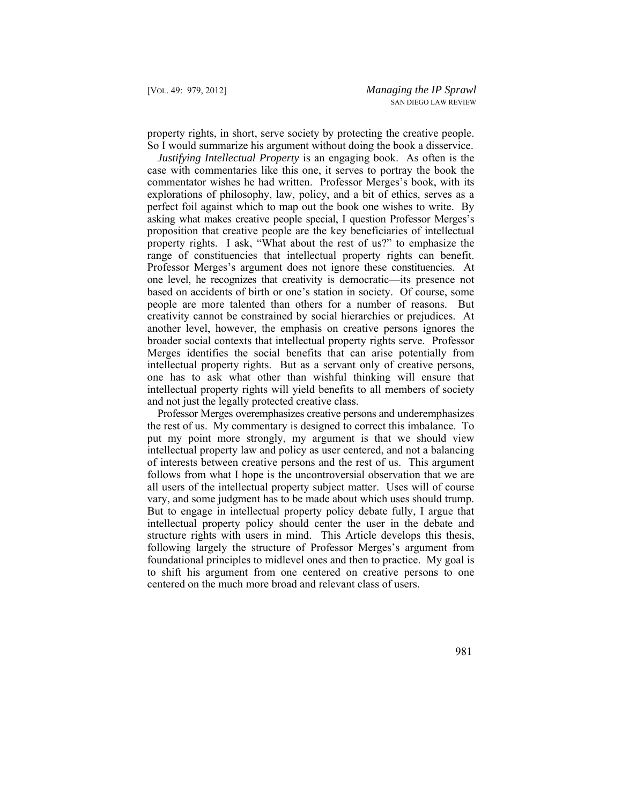property rights, in short, serve society by protecting the creative people. So I would summarize his argument without doing the book a disservice.

 Professor Merges's argument does not ignore these constituencies. At one level, he recognizes that creativity is democratic—its presence not *Justifying Intellectual Property* is an engaging book. As often is the case with commentaries like this one, it serves to portray the book the commentator wishes he had written. Professor Merges's book, with its explorations of philosophy, law, policy, and a bit of ethics, serves as a perfect foil against which to map out the book one wishes to write. By asking what makes creative people special, I question Professor Merges's proposition that creative people are the key beneficiaries of intellectual property rights. I ask, "What about the rest of us?" to emphasize the range of constituencies that intellectual property rights can benefit. based on accidents of birth or one's station in society. Of course, some people are more talented than others for a number of reasons. But creativity cannot be constrained by social hierarchies or prejudices. At another level, however, the emphasis on creative persons ignores the broader social contexts that intellectual property rights serve. Professor Merges identifies the social benefits that can arise potentially from intellectual property rights. But as a servant only of creative persons, one has to ask what other than wishful thinking will ensure that intellectual property rights will yield benefits to all members of society and not just the legally protected creative class.

vary, and some judgment has to be made about which uses should trump. Professor Merges overemphasizes creative persons and underemphasizes the rest of us. My commentary is designed to correct this imbalance. To put my point more strongly, my argument is that we should view intellectual property law and policy as user centered, and not a balancing of interests between creative persons and the rest of us. This argument follows from what I hope is the uncontroversial observation that we are all users of the intellectual property subject matter. Uses will of course But to engage in intellectual property policy debate fully, I argue that intellectual property policy should center the user in the debate and structure rights with users in mind. This Article develops this thesis, following largely the structure of Professor Merges's argument from foundational principles to midlevel ones and then to practice. My goal is to shift his argument from one centered on creative persons to one centered on the much more broad and relevant class of users.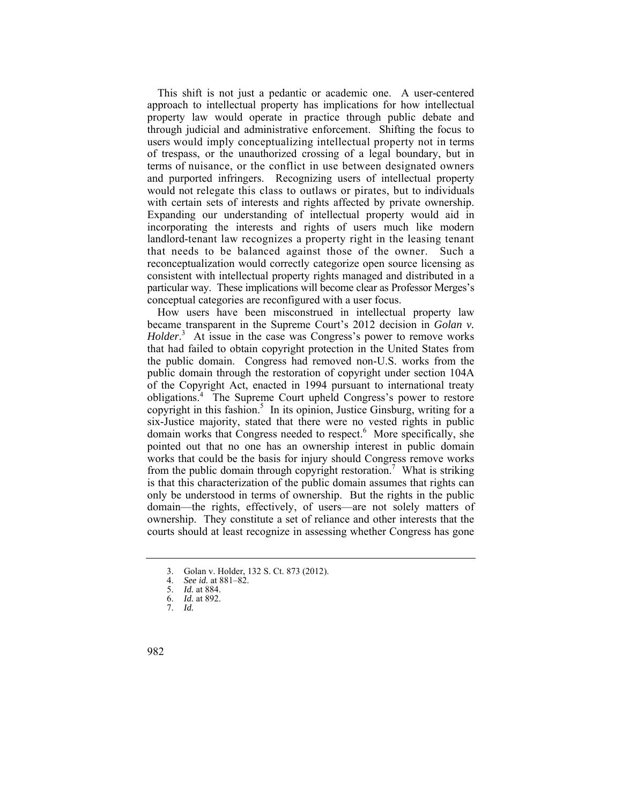users would imply conceptualizing intellectual property not in terms terms of nuisance, or the conflict in use between designated owners would not relegate this class to outlaws or pirates, but to individuals that needs to be balanced against those of the owner. Such a This shift is not just a pedantic or academic one. A user-centered approach to intellectual property has implications for how intellectual property law would operate in practice through public debate and through judicial and administrative enforcement. Shifting the focus to of trespass, or the unauthorized crossing of a legal boundary, but in and purported infringers. Recognizing users of intellectual property with certain sets of interests and rights affected by private ownership. Expanding our understanding of intellectual property would aid in incorporating the interests and rights of users much like modern landlord-tenant law recognizes a property right in the leasing tenant reconceptualization would correctly categorize open source licensing as consistent with intellectual property rights managed and distributed in a particular way. These implications will become clear as Professor Merges's conceptual categories are reconfigured with a user focus.

 obligations.4 The Supreme Court upheld Congress's power to restore How users have been misconstrued in intellectual property law became transparent in the Supreme Court's 2012 decision in *Golan v. Holder*<sup>3</sup> At issue in the case was Congress's power to remove works that had failed to obtain copyright protection in the United States from the public domain. Congress had removed non-U.S. works from the public domain through the restoration of copyright under section 104A of the Copyright Act, enacted in 1994 pursuant to international treaty copyright in this fashion.<sup>5</sup> In its opinion, Justice Ginsburg, writing for a six-Justice majority, stated that there were no vested rights in public domain works that Congress needed to respect.<sup>6</sup> More specifically, she pointed out that no one has an ownership interest in public domain works that could be the basis for injury should Congress remove works from the public domain through copyright restoration.<sup>7</sup> What is striking is that this characterization of the public domain assumes that rights can only be understood in terms of ownership. But the rights in the public domain—the rights, effectively, of users—are not solely matters of ownership. They constitute a set of reliance and other interests that the courts should at least recognize in assessing whether Congress has gone

<sup>3.</sup> Golan v. Holder, 132 S. Ct. 873 (2012).<br>4 See id. at 881–82.

<sup>4.</sup> *See id.* at 881–82.

<sup>5.</sup> *Id.* at 884.

<sup>6.</sup> *Id.* at 892.

<sup>7.</sup> *Id.*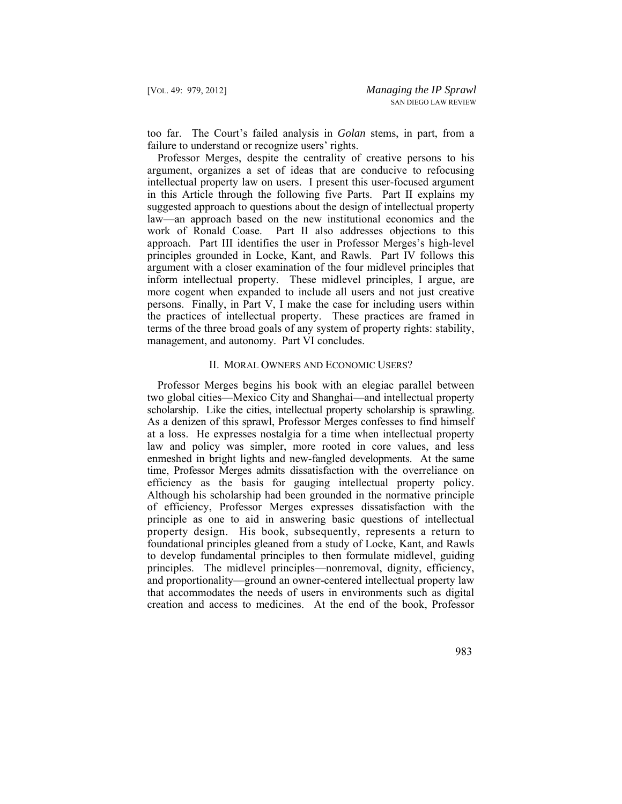too far. The Court's failed analysis in *Golan* stems, in part, from a failure to understand or recognize users' rights.

Professor Merges, despite the centrality of creative persons to his argument, organizes a set of ideas that are conducive to refocusing intellectual property law on users. I present this user-focused argument in this Article through the following five Parts. Part II explains my suggested approach to questions about the design of intellectual property law—an approach based on the new institutional economics and the work of Ronald Coase. Part II also addresses objections to this approach. Part III identifies the user in Professor Merges's high-level principles grounded in Locke, Kant, and Rawls. Part IV follows this argument with a closer examination of the four midlevel principles that inform intellectual property. These midlevel principles, I argue, are more cogent when expanded to include all users and not just creative persons. Finally, in Part V, I make the case for including users within the practices of intellectual property. These practices are framed in terms of the three broad goals of any system of property rights: stability, management, and autonomy. Part VI concludes.

#### II. MORAL OWNERS AND ECONOMIC USERS?

 enmeshed in bright lights and new-fangled developments. At the same time, Professor Merges admits dissatisfaction with the overreliance on property design. His book, subsequently, represents a return to Professor Merges begins his book with an elegiac parallel between two global cities—Mexico City and Shanghai—and intellectual property scholarship. Like the cities, intellectual property scholarship is sprawling. As a denizen of this sprawl, Professor Merges confesses to find himself at a loss. He expresses nostalgia for a time when intellectual property law and policy was simpler, more rooted in core values, and less efficiency as the basis for gauging intellectual property policy. Although his scholarship had been grounded in the normative principle of efficiency, Professor Merges expresses dissatisfaction with the principle as one to aid in answering basic questions of intellectual foundational principles gleaned from a study of Locke, Kant, and Rawls to develop fundamental principles to then formulate midlevel, guiding principles. The midlevel principles—nonremoval, dignity, efficiency, and proportionality—ground an owner-centered intellectual property law that accommodates the needs of users in environments such as digital creation and access to medicines. At the end of the book, Professor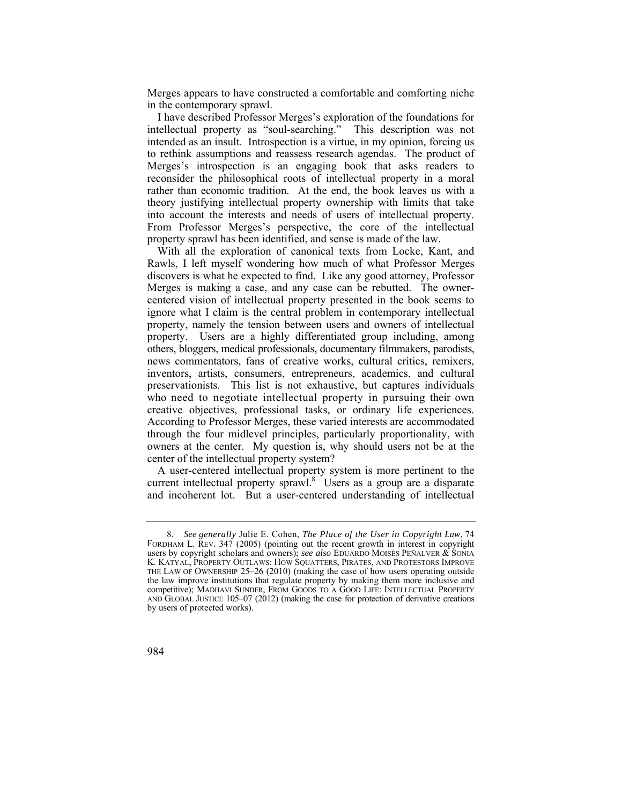Merges appears to have constructed a comfortable and comforting niche in the contemporary sprawl.

I have described Professor Merges's exploration of the foundations for intellectual property as "soul-searching." This description was not intended as an insult. Introspection is a virtue, in my opinion, forcing us to rethink assumptions and reassess research agendas. The product of Merges's introspection is an engaging book that asks readers to reconsider the philosophical roots of intellectual property in a moral rather than economic tradition. At the end, the book leaves us with a theory justifying intellectual property ownership with limits that take into account the interests and needs of users of intellectual property. From Professor Merges's perspective, the core of the intellectual property sprawl has been identified, and sense is made of the law.

 who need to negotiate intellectual property in pursuing their own With all the exploration of canonical texts from Locke, Kant, and Rawls, I left myself wondering how much of what Professor Merges discovers is what he expected to find. Like any good attorney, Professor Merges is making a case, and any case can be rebutted. The ownercentered vision of intellectual property presented in the book seems to ignore what I claim is the central problem in contemporary intellectual property, namely the tension between users and owners of intellectual property. Users are a highly differentiated group including, among others, bloggers, medical professionals, documentary filmmakers, parodists, news commentators, fans of creative works, cultural critics, remixers, inventors, artists, consumers, entrepreneurs, academics, and cultural preservationists. This list is not exhaustive, but captures individuals creative objectives, professional tasks, or ordinary life experiences. According to Professor Merges, these varied interests are accommodated through the four midlevel principles, particularly proportionality, with owners at the center. My question is, why should users not be at the center of the intellectual property system?

A user-centered intellectual property system is more pertinent to the current intellectual property sprawl.<sup>8</sup> Users as a group are a disparate and incoherent lot. But a user-centered understanding of intellectual

 FORDHAM L. REV. 347 (2005) (pointing out the recent growth in interest in copyright K. KATYAL, PROPERTY OUTLAWS: HOW SQUATTERS, PIRATES, AND PROTESTORS IMPROVE 8. *See generally* Julie E. Cohen, *The Place of the User in Copyright Law*, 74 users by copyright scholars and owners); *see also* EDUARDO MOISÉS PEÑALVER & SONIA THE LAW OF OWNERSHIP 25–26 (2010) (making the case of how users operating outside the law improve institutions that regulate property by making them more inclusive and competitive); MADHAVI SUNDER, FROM GOODS TO A GOOD LIFE: INTELLECTUAL PROPERTY AND GLOBAL JUSTICE 105–07 (2012) (making the case for protection of derivative creations by users of protected works).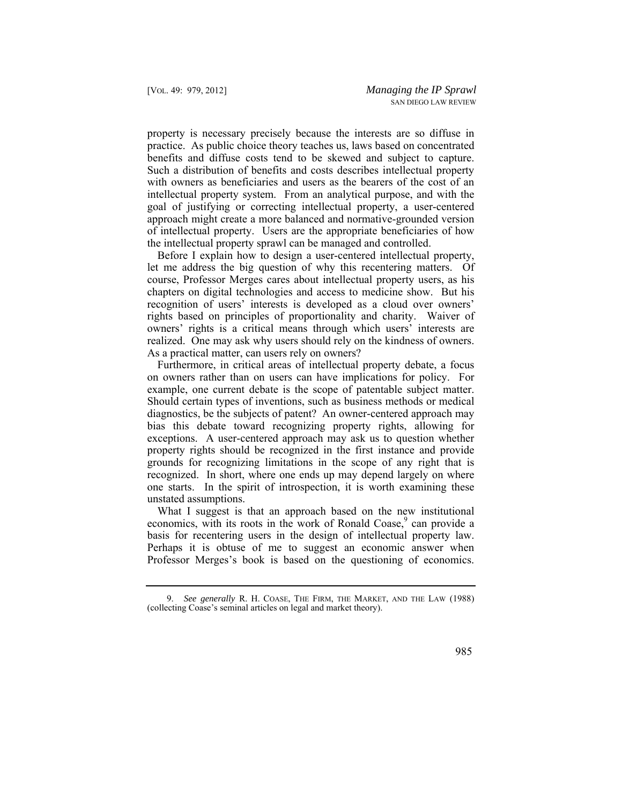of intellectual property. Users are the appropriate beneficiaries of how property is necessary precisely because the interests are so diffuse in practice. As public choice theory teaches us, laws based on concentrated benefits and diffuse costs tend to be skewed and subject to capture. Such a distribution of benefits and costs describes intellectual property with owners as beneficiaries and users as the bearers of the cost of an intellectual property system. From an analytical purpose, and with the goal of justifying or correcting intellectual property, a user-centered approach might create a more balanced and normative-grounded version the intellectual property sprawl can be managed and controlled.

Before I explain how to design a user-centered intellectual property, let me address the big question of why this recentering matters. Of course, Professor Merges cares about intellectual property users, as his chapters on digital technologies and access to medicine show. But his recognition of users' interests is developed as a cloud over owners' rights based on principles of proportionality and charity. Waiver of owners' rights is a critical means through which users' interests are realized. One may ask why users should rely on the kindness of owners. As a practical matter, can users rely on owners?

Furthermore, in critical areas of intellectual property debate, a focus on owners rather than on users can have implications for policy. For example, one current debate is the scope of patentable subject matter. Should certain types of inventions, such as business methods or medical diagnostics, be the subjects of patent? An owner-centered approach may bias this debate toward recognizing property rights, allowing for exceptions. A user-centered approach may ask us to question whether property rights should be recognized in the first instance and provide grounds for recognizing limitations in the scope of any right that is recognized. In short, where one ends up may depend largely on where one starts. In the spirit of introspection, it is worth examining these unstated assumptions.

What I suggest is that an approach based on the new institutional economics, with its roots in the work of Ronald Coase,<sup>9</sup> can provide a basis for recentering users in the design of intellectual property law. Perhaps it is obtuse of me to suggest an economic answer when Professor Merges's book is based on the questioning of economics.

 9. *See generally* R. H. COASE, THE FIRM, THE MARKET, AND THE LAW (1988) (collecting Coase's seminal articles on legal and market theory).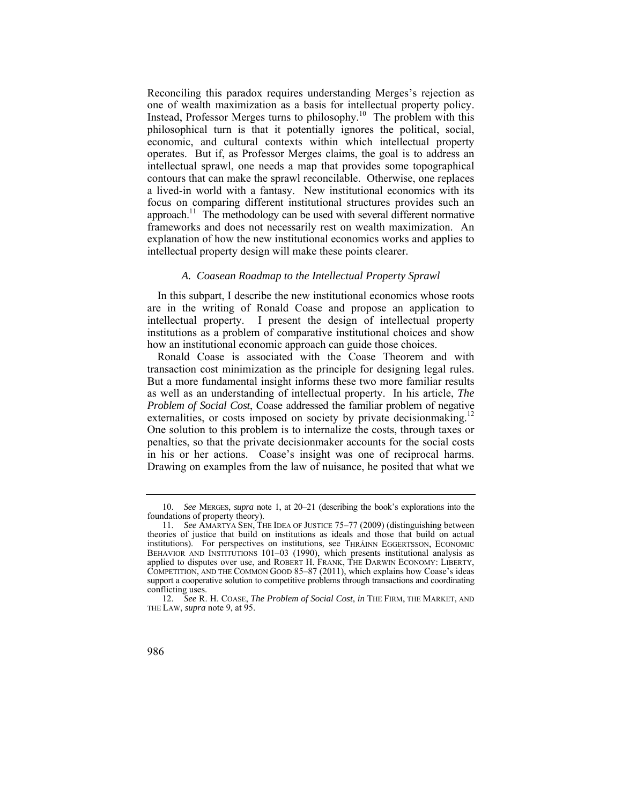one of wealth maximization as a basis for intellectual property policy. a lived-in world with a fantasy. New institutional economics with its Reconciling this paradox requires understanding Merges's rejection as Instead, Professor Merges turns to philosophy.10 The problem with this philosophical turn is that it potentially ignores the political, social, economic, and cultural contexts within which intellectual property operates. But if, as Professor Merges claims, the goal is to address an intellectual sprawl, one needs a map that provides some topographical contours that can make the sprawl reconcilable. Otherwise, one replaces focus on comparing different institutional structures provides such an approach.<sup>11</sup> The methodology can be used with several different normative frameworks and does not necessarily rest on wealth maximization. An explanation of how the new institutional economics works and applies to intellectual property design will make these points clearer.

#### *A. Coasean Roadmap to the Intellectual Property Sprawl*

In this subpart, I describe the new institutional economics whose roots are in the writing of Ronald Coase and propose an application to intellectual property. I present the design of intellectual property institutions as a problem of comparative institutional choices and show how an institutional economic approach can guide those choices.

externalities, or costs imposed on society by private decisionmaking.<sup>12</sup> Ronald Coase is associated with the Coase Theorem and with transaction cost minimization as the principle for designing legal rules. But a more fundamental insight informs these two more familiar results as well as an understanding of intellectual property. In his article, *The Problem of Social Cost*, Coase addressed the familiar problem of negative One solution to this problem is to internalize the costs, through taxes or penalties, so that the private decisionmaker accounts for the social costs in his or her actions. Coase's insight was one of reciprocal harms. Drawing on examples from the law of nuisance, he posited that what we

 foundations of property theory). 10. *See* MERGES, *supra* note 1, at 20–21 (describing the book's explorations into the

 applied to disputes over use, and ROBERT H. FRANK, THE DARWIN ECONOMY: LIBERTY, 11. *See* AMARTYA SEN, THE IDEA OF JUSTICE 75–77 (2009) (distinguishing between theories of justice that build on institutions as ideals and those that build on actual institutions). For perspectives on institutions, see THRÁINN EGGERTSSON, ECONOMIC BEHAVIOR AND INSTITUTIONS 101-03 (1990), which presents institutional analysis as COMPETITION, AND THE COMMON GOOD 85–87 (2011), which explains how Coase's ideas support a cooperative solution to competitive problems through transactions and coordinating conflicting uses.

<sup>12.</sup> *See* R. H. COASE, *The Problem of Social Cost*, *in* THE FIRM, THE MARKET, AND THE LAW, *supra* note 9, at 95.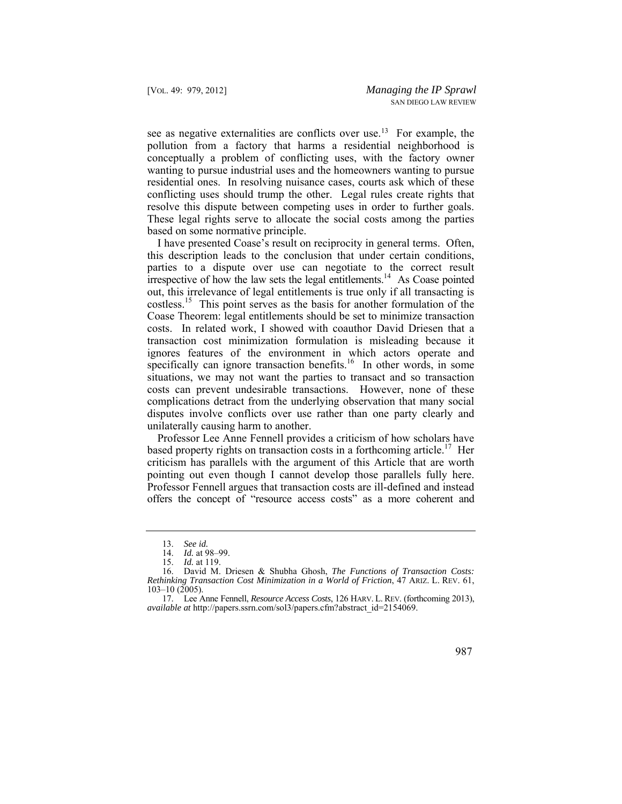see as negative externalities are conflicts over use.<sup>13</sup> For example, the pollution from a factory that harms a residential neighborhood is conceptually a problem of conflicting uses, with the factory owner wanting to pursue industrial uses and the homeowners wanting to pursue residential ones. In resolving nuisance cases, courts ask which of these conflicting uses should trump the other. Legal rules create rights that resolve this dispute between competing uses in order to further goals. These legal rights serve to allocate the social costs among the parties based on some normative principle.

irrespective of how the law sets the legal entitlements.<sup>14</sup> As Coase pointed I have presented Coase's result on reciprocity in general terms. Often, this description leads to the conclusion that under certain conditions, parties to a dispute over use can negotiate to the correct result out, this irrelevance of legal entitlements is true only if all transacting is costless.<sup>15</sup> This point serves as the basis for another formulation of the Coase Theorem: legal entitlements should be set to minimize transaction costs. In related work, I showed with coauthor David Driesen that a transaction cost minimization formulation is misleading because it ignores features of the environment in which actors operate and specifically can ignore transaction benefits.<sup>16</sup> In other words, in some situations, we may not want the parties to transact and so transaction costs can prevent undesirable transactions. However, none of these complications detract from the underlying observation that many social disputes involve conflicts over use rather than one party clearly and unilaterally causing harm to another.

Professor Lee Anne Fennell provides a criticism of how scholars have based property rights on transaction costs in a forthcoming article.<sup>17</sup> Her criticism has parallels with the argument of this Article that are worth pointing out even though I cannot develop those parallels fully here. Professor Fennell argues that transaction costs are ill-defined and instead offers the concept of "resource access costs" as a more coherent and

<sup>13.</sup> *See id.* 

<sup>14.</sup> *Id.* at 98–99.

*Id.* at 119.

 *Rethinking Transaction Cost Minimization in a World of Friction*, 47 ARIZ. L. REV. 61, 16. David M. Driesen & Shubha Ghosh, *The Functions of Transaction Costs:*  103–10 (2005).

 17. Lee Anne Fennell, *Resource Access Costs*, 126 HARV. L. REV. (forthcoming 2013), *available at* http://papers.ssrn.com/sol3/papers.cfm?abstract\_id=2154069.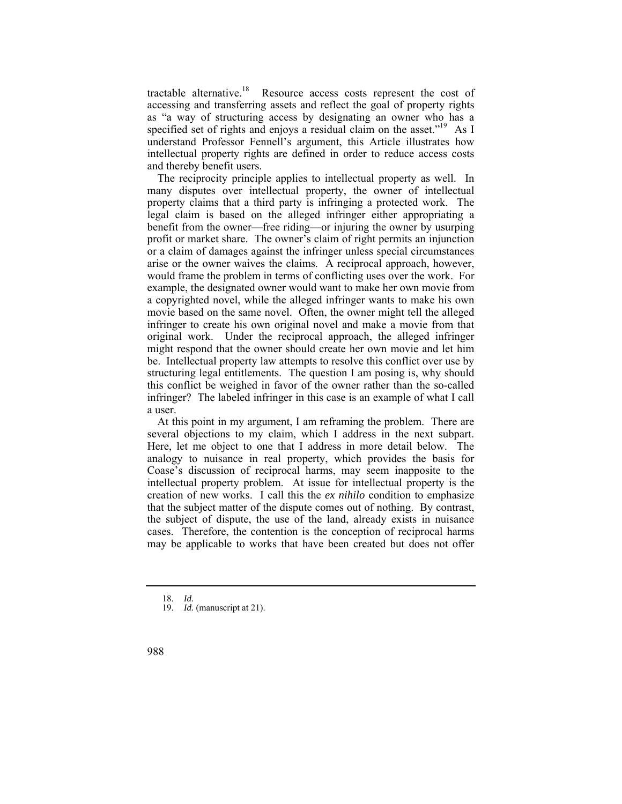tractable alternative.<sup>18</sup> Resource access costs represent the cost of accessing and transferring assets and reflect the goal of property rights as "a way of structuring access by designating an owner who has a specified set of rights and enjoys a residual claim on the asset."<sup>19</sup> As I understand Professor Fennell's argument, this Article illustrates how intellectual property rights are defined in order to reduce access costs and thereby benefit users.

 The reciprocity principle applies to intellectual property as well. In many disputes over intellectual property, the owner of intellectual property claims that a third party is infringing a protected work. The legal claim is based on the alleged infringer either appropriating a benefit from the owner—free riding—or injuring the owner by usurping profit or market share. The owner's claim of right permits an injunction or a claim of damages against the infringer unless special circumstances arise or the owner waives the claims. A reciprocal approach, however, would frame the problem in terms of conflicting uses over the work. For example, the designated owner would want to make her own movie from a copyrighted novel, while the alleged infringer wants to make his own movie based on the same novel. Often, the owner might tell the alleged infringer to create his own original novel and make a movie from that original work. Under the reciprocal approach, the alleged infringer might respond that the owner should create her own movie and let him be. Intellectual property law attempts to resolve this conflict over use by structuring legal entitlements. The question I am posing is, why should this conflict be weighed in favor of the owner rather than the so-called infringer? The labeled infringer in this case is an example of what I call a user.

At this point in my argument, I am reframing the problem. There are several objections to my claim, which I address in the next subpart. Here, let me object to one that I address in more detail below. The analogy to nuisance in real property, which provides the basis for Coase's discussion of reciprocal harms, may seem inapposite to the intellectual property problem. At issue for intellectual property is the creation of new works. I call this the *ex nihilo* condition to emphasize that the subject matter of the dispute comes out of nothing. By contrast, the subject of dispute, the use of the land, already exists in nuisance cases. Therefore, the contention is the conception of reciprocal harms may be applicable to works that have been created but does not offer

<sup>18.</sup> *Id.* 

<sup>19.</sup> *Id.* (manuscript at 21).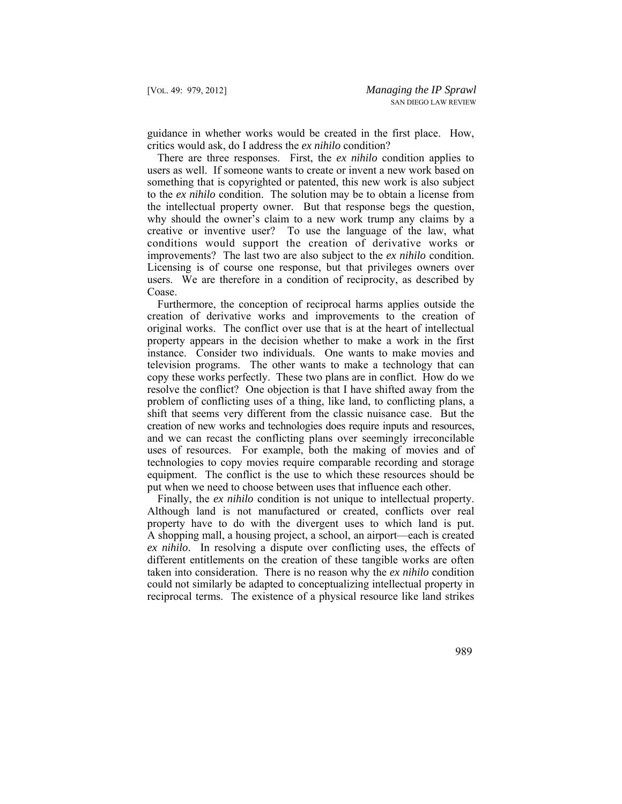guidance in whether works would be created in the first place. How, critics would ask, do I address the *ex nihilo* condition?

There are three responses. First, the *ex nihilo* condition applies to users as well. If someone wants to create or invent a new work based on something that is copyrighted or patented, this new work is also subject to the *ex nihilo* condition. The solution may be to obtain a license from the intellectual property owner. But that response begs the question, why should the owner's claim to a new work trump any claims by a creative or inventive user? To use the language of the law, what conditions would support the creation of derivative works or improvements? The last two are also subject to the *ex nihilo* condition. Licensing is of course one response, but that privileges owners over users. We are therefore in a condition of reciprocity, as described by Coase.

Furthermore, the conception of reciprocal harms applies outside the creation of derivative works and improvements to the creation of original works. The conflict over use that is at the heart of intellectual property appears in the decision whether to make a work in the first instance. Consider two individuals. One wants to make movies and television programs. The other wants to make a technology that can copy these works perfectly. These two plans are in conflict. How do we resolve the conflict? One objection is that I have shifted away from the problem of conflicting uses of a thing, like land, to conflicting plans, a shift that seems very different from the classic nuisance case. But the creation of new works and technologies does require inputs and resources, and we can recast the conflicting plans over seemingly irreconcilable uses of resources. For example, both the making of movies and of technologies to copy movies require comparable recording and storage equipment. The conflict is the use to which these resources should be put when we need to choose between uses that influence each other.

Finally, the *ex nihilo* condition is not unique to intellectual property. Although land is not manufactured or created, conflicts over real property have to do with the divergent uses to which land is put. A shopping mall, a housing project, a school, an airport—each is created *ex nihilo*. In resolving a dispute over conflicting uses, the effects of different entitlements on the creation of these tangible works are often taken into consideration. There is no reason why the *ex nihilo* condition could not similarly be adapted to conceptualizing intellectual property in reciprocal terms. The existence of a physical resource like land strikes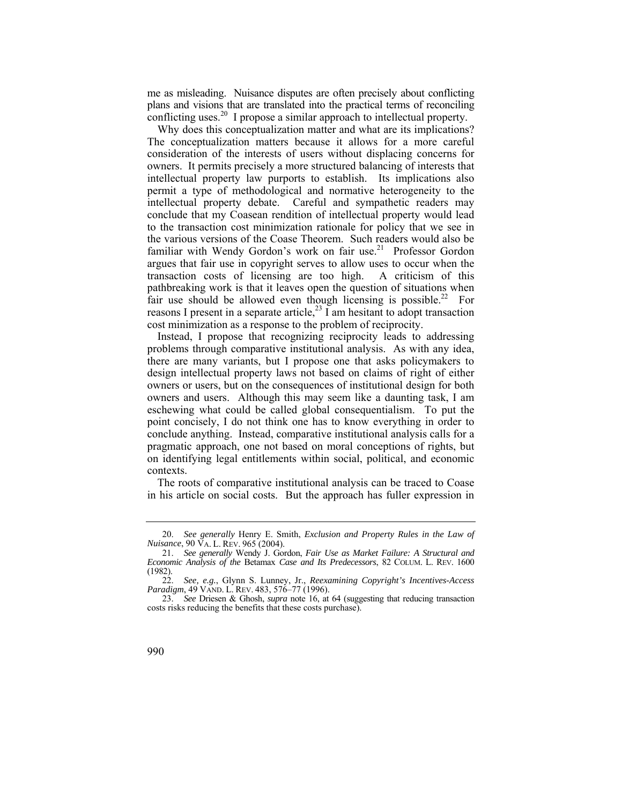me as misleading. Nuisance disputes are often precisely about conflicting plans and visions that are translated into the practical terms of reconciling conflicting uses.<sup>20</sup> I propose a similar approach to intellectual property.

Why does this conceptualization matter and what are its implications? The conceptualization matters because it allows for a more careful consideration of the interests of users without displacing concerns for owners. It permits precisely a more structured balancing of interests that intellectual property law purports to establish. Its implications also permit a type of methodological and normative heterogeneity to the intellectual property debate. Careful and sympathetic readers may conclude that my Coasean rendition of intellectual property would lead to the transaction cost minimization rationale for policy that we see in the various versions of the Coase Theorem. Such readers would also be familiar with Wendy Gordon's work on fair use.<sup>21</sup> Professor Gordon argues that fair use in copyright serves to allow uses to occur when the transaction costs of licensing are too high. A criticism of this pathbreaking work is that it leaves open the question of situations when fair use should be allowed even though licensing is possible.<sup>22</sup> For reasons I present in a separate article,<sup>23</sup> I am hesitant to adopt transaction cost minimization as a response to the problem of reciprocity.

Instead, I propose that recognizing reciprocity leads to addressing problems through comparative institutional analysis. As with any idea, there are many variants, but I propose one that asks policymakers to design intellectual property laws not based on claims of right of either owners or users, but on the consequences of institutional design for both owners and users. Although this may seem like a daunting task, I am eschewing what could be called global consequentialism. To put the point concisely, I do not think one has to know everything in order to conclude anything. Instead, comparative institutional analysis calls for a pragmatic approach, one not based on moral conceptions of rights, but on identifying legal entitlements within social, political, and economic contexts.

The roots of comparative institutional analysis can be traced to Coase in his article on social costs. But the approach has fuller expression in

 *Nuisance*, 90 VA. L. REV. 965 (2004). 20. *See generally* Henry E. Smith, *Exclusion and Property Rules in the Law of* 

 21. *See generally* Wendy J. Gordon, *Fair Use as Market Failure: A Structural and Economic Analysis of the* Betamax *Case and Its Predecessors*, 82 COLUM. L. REV. 1600 (1982).

<sup>22.</sup> *See, e.g.*, Glynn S. Lunney, Jr., *Reexamining Copyright's Incentives-Access Paradigm*, 49 VAND. L. REV. 483, 576–77 (1996).

<sup>23.</sup> *See* Driesen & Ghosh, *supra* note 16, at 64 (suggesting that reducing transaction costs risks reducing the benefits that these costs purchase).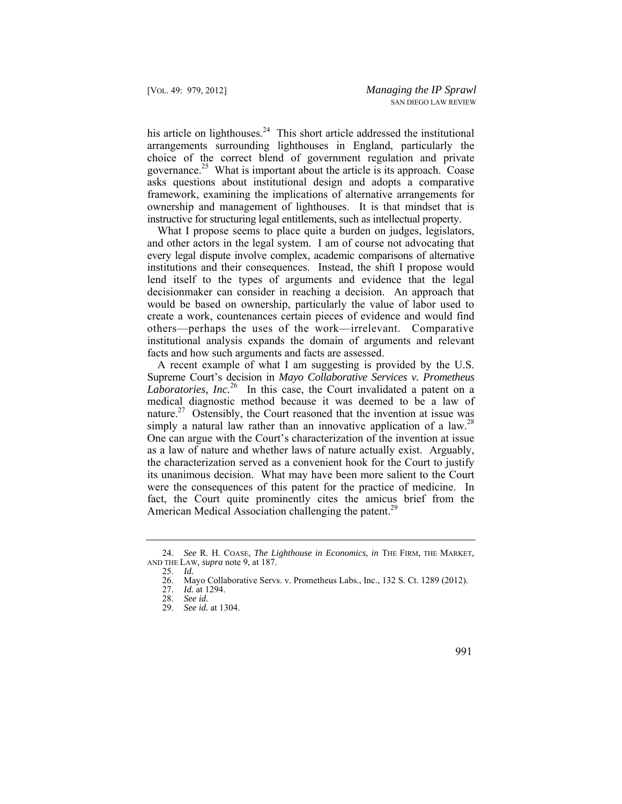his article on lighthouses. $24$  This short article addressed the institutional arrangements surrounding lighthouses in England, particularly the choice of the correct blend of government regulation and private governance.25 What is important about the article is its approach. Coase asks questions about institutional design and adopts a comparative framework, examining the implications of alternative arrangements for ownership and management of lighthouses. It is that mindset that is instructive for structuring legal entitlements, such as intellectual property.

What I propose seems to place quite a burden on judges, legislators, and other actors in the legal system. I am of course not advocating that every legal dispute involve complex, academic comparisons of alternative institutions and their consequences. Instead, the shift I propose would lend itself to the types of arguments and evidence that the legal decisionmaker can consider in reaching a decision. An approach that would be based on ownership, particularly the value of labor used to create a work, countenances certain pieces of evidence and would find others—perhaps the uses of the work—irrelevant. Comparative institutional analysis expands the domain of arguments and relevant facts and how such arguments and facts are assessed.

simply a natural law rather than an innovative application of a law.<sup>28</sup> A recent example of what I am suggesting is provided by the U.S. Supreme Court's decision in *Mayo Collaborative Services v. Prometheus Laboratories, Inc.*26 In this case, the Court invalidated a patent on a medical diagnostic method because it was deemed to be a law of [nature.](https://nature.27)<sup>27</sup> Ostensibly, the Court reasoned that the invention at issue was One can argue with the Court's characterization of the invention at issue as a law of nature and whether laws of nature actually exist. Arguably, the characterization served as a convenient hook for the Court to justify its unanimous decision. What may have been more salient to the Court were the consequences of this patent for the practice of medicine. In fact, the Court quite prominently cites the amicus brief from the American Medical Association challenging the patent.<sup>29</sup>

<sup>24.</sup> *See* R. H. COASE, *The Lighthouse in Economics*, *in* THE FIRM, THE MARKET, AND THE LAW, *supra* note 9, at 187.

<sup>25.</sup> *Id.* 

<sup>26.</sup> Mayo Collaborative Servs. v. Prometheus Labs., Inc., 132 S. Ct. 1289 (2012).

<sup>27.</sup> *Id.* at 1294.

<sup>28.</sup> *See id.* 

<sup>29.</sup> *See id.* at 1304.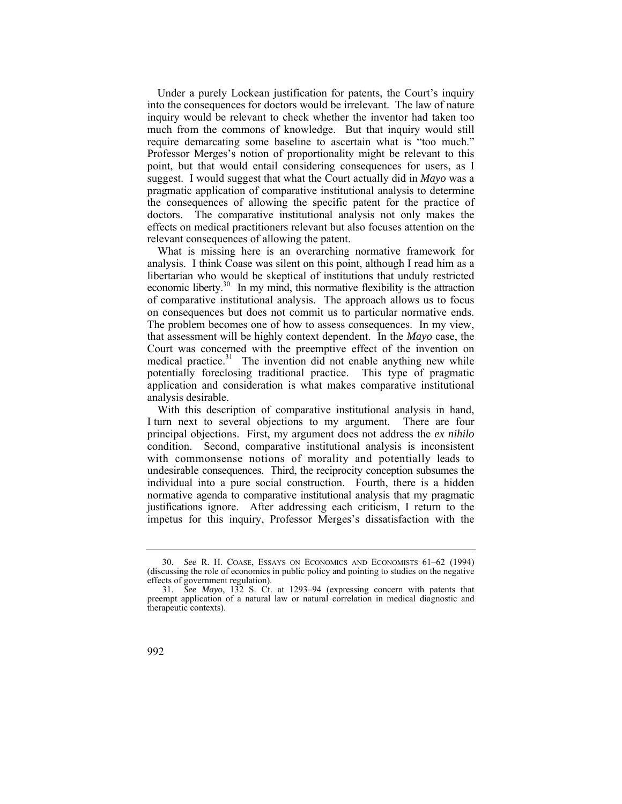Under a purely Lockean justification for patents, the Court's inquiry into the consequences for doctors would be irrelevant. The law of nature inquiry would be relevant to check whether the inventor had taken too much from the commons of knowledge. But that inquiry would still require demarcating some baseline to ascertain what is "too much." Professor Merges's notion of proportionality might be relevant to this point, but that would entail considering consequences for users, as I suggest. I would suggest that what the Court actually did in *Mayo* was a pragmatic application of comparative institutional analysis to determine the consequences of allowing the specific patent for the practice of doctors. The comparative institutional analysis not only makes the effects on medical practitioners relevant but also focuses attention on the relevant consequences of allowing the patent.

economic liberty. $30$  In my mind, this normative flexibility is the attraction medical practice.<sup>31</sup> The invention did not enable anything new while What is missing here is an overarching normative framework for analysis. I think Coase was silent on this point, although I read him as a libertarian who would be skeptical of institutions that unduly restricted of comparative institutional analysis. The approach allows us to focus on consequences but does not commit us to particular normative ends. The problem becomes one of how to assess consequences. In my view, that assessment will be highly context dependent. In the *Mayo* case, the Court was concerned with the preemptive effect of the invention on potentially foreclosing traditional practice. This type of pragmatic application and consideration is what makes comparative institutional analysis desirable.

 with commonsense notions of morality and potentially leads to normative agenda to comparative institutional analysis that my pragmatic With this description of comparative institutional analysis in hand, I turn next to several objections to my argument. There are four principal objections. First, my argument does not address the *ex nihilo*  condition. Second, comparative institutional analysis is inconsistent undesirable consequences. Third, the reciprocity conception subsumes the individual into a pure social construction. Fourth, there is a hidden justifications ignore. After addressing each criticism, I return to the impetus for this inquiry, Professor Merges's dissatisfaction with the

 30. *See* R. H. COASE, ESSAYS ON ECONOMICS AND ECONOMISTS 61–62 (1994) (discussing the role of economics in public policy and pointing to studies on the negative effects of government regulation).

<sup>31.</sup> *See Mayo*, 132 S. Ct. at 1293–94 (expressing concern with patents that preempt application of a natural law or natural correlation in medical diagnostic and therapeutic contexts).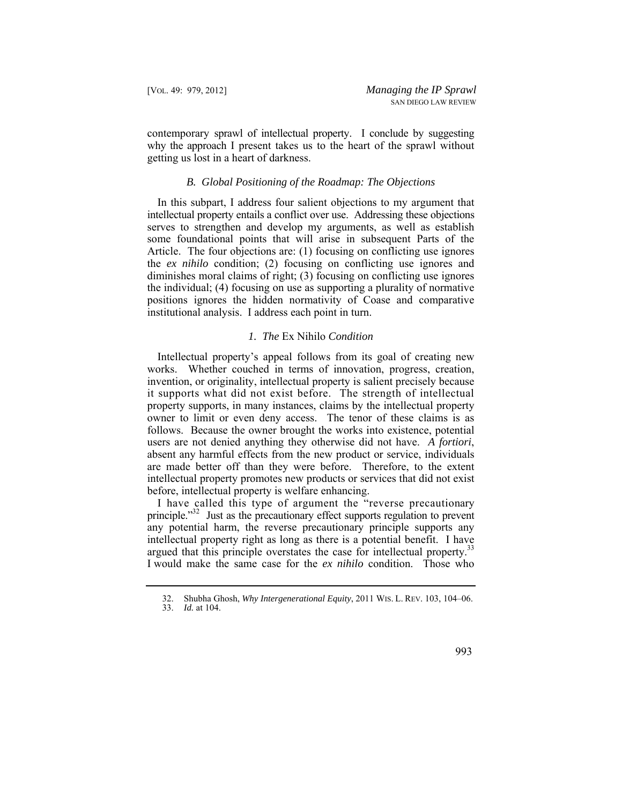why the approach I present takes us to the heart of the sprawl without contemporary sprawl of intellectual property. I conclude by suggesting getting us lost in a heart of darkness.

#### *B. Global Positioning of the Roadmap: The Objections*

In this subpart, I address four salient objections to my argument that intellectual property entails a conflict over use. Addressing these objections serves to strengthen and develop my arguments, as well as establish some foundational points that will arise in subsequent Parts of the Article. The four objections are: (1) focusing on conflicting use ignores the *ex nihilo* condition; (2) focusing on conflicting use ignores and diminishes moral claims of right; (3) focusing on conflicting use ignores the individual; (4) focusing on use as supporting a plurality of normative positions ignores the hidden normativity of Coase and comparative institutional analysis. I address each point in turn.

## *1. The* Ex Nihilo *Condition*

Intellectual property's appeal follows from its goal of creating new works. Whether couched in terms of innovation, progress, creation, invention, or originality, intellectual property is salient precisely because it supports what did not exist before. The strength of intellectual property supports, in many instances, claims by the intellectual property owner to limit or even deny access. The tenor of these claims is as follows. Because the owner brought the works into existence, potential users are not denied anything they otherwise did not have. *A fortiori*, absent any harmful effects from the new product or service, individuals are made better off than they were before. Therefore, to the extent intellectual property promotes new products or services that did not exist before, intellectual property is welfare enhancing.

I have called this type of argument the "reverse precautionary principle."<sup>32</sup> Just as the precautionary effect supports regulation to prevent any potential harm, the reverse precautionary principle supports any intellectual property right as long as there is a potential benefit. I have argued that this principle overstates the case for intellectual property.<sup>3</sup> I would make the same case for the *ex nihilo* condition. Those who

 32. Shubha Ghosh, *Why Intergenerational Equity*, 2011 WIS. L. REV. 103, 104–06.

<sup>33.</sup> *Id.* at 104.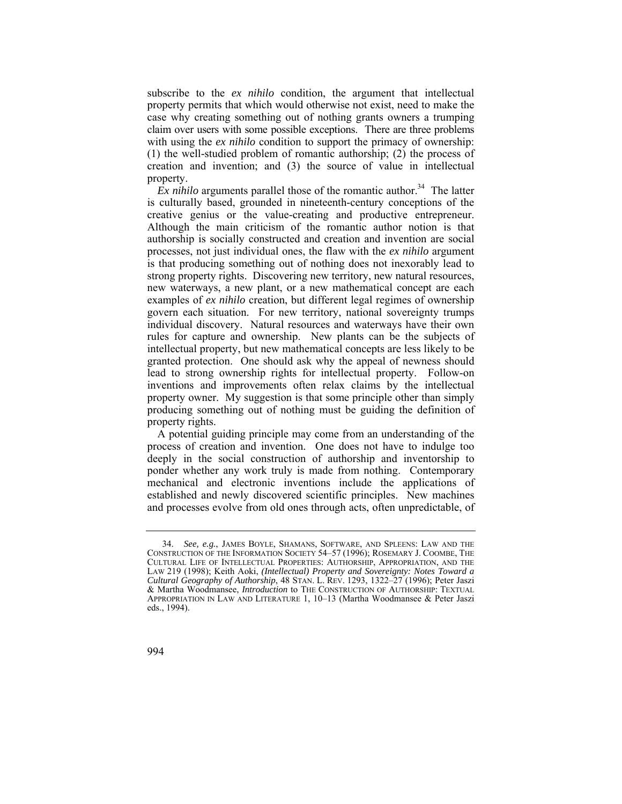subscribe to the *ex nihilo* condition, the argument that intellectual property permits that which would otherwise not exist, need to make the case why creating something out of nothing grants owners a trumping claim over users with some possible exceptions. There are three problems with using the *ex nihilo* condition to support the primacy of ownership: (1) the well-studied problem of romantic authorship; (2) the process of creation and invention; and (3) the source of value in intellectual property.

 $\overline{Ex}$  *nihilo* arguments parallel those of the romantic author.<sup>34</sup> The latter is culturally based, grounded in nineteenth-century conceptions of the creative genius or the value-creating and productive entrepreneur. Although the main criticism of the romantic author notion is that authorship is socially constructed and creation and invention are social processes, not just individual ones, the flaw with the *ex nihilo* argument is that producing something out of nothing does not inexorably lead to strong property rights. Discovering new territory, new natural resources, new waterways, a new plant, or a new mathematical concept are each examples of *ex nihilo* creation, but different legal regimes of ownership govern each situation. For new territory, national sovereignty trumps individual discovery. Natural resources and waterways have their own rules for capture and ownership. New plants can be the subjects of intellectual property, but new mathematical concepts are less likely to be granted protection. One should ask why the appeal of newness should lead to strong ownership rights for intellectual property. Follow-on inventions and improvements often relax claims by the intellectual property owner. My suggestion is that some principle other than simply producing something out of nothing must be guiding the definition of property rights.

A potential guiding principle may come from an understanding of the process of creation and invention. One does not have to indulge too deeply in the social construction of authorship and inventorship to ponder whether any work truly is made from nothing. Contemporary mechanical and electronic inventions include the applications of established and newly discovered scientific principles. New machines and processes evolve from old ones through acts, often unpredictable, of

 CONSTRUCTION OF THE INFORMATION SOCIETY 54–57 (1996); ROSEMARY J. COOMBE, THE *Cultural Geography of Authorship*, 48 STAN. L. REV. 1293, 1322–27 (1996); Peter Jaszi 34. *See, e.g.*, JAMES BOYLE, SHAMANS, SOFTWARE, AND SPLEENS: LAW AND THE CULTURAL LIFE OF INTELLECTUAL PROPERTIES: AUTHORSHIP, APPROPRIATION, AND THE LAW 219 (1998); Keith Aoki, *(Intellectual) Property and Sovereignty: Notes Toward a* & Martha Woodmansee, *Introduction* to THE CONSTRUCTION OF AUTHORSHIP: TEXTUAL APPROPRIATION IN LAW AND LITERATURE 1, 10–13 (Martha Woodmansee & Peter Jaszi eds., 1994).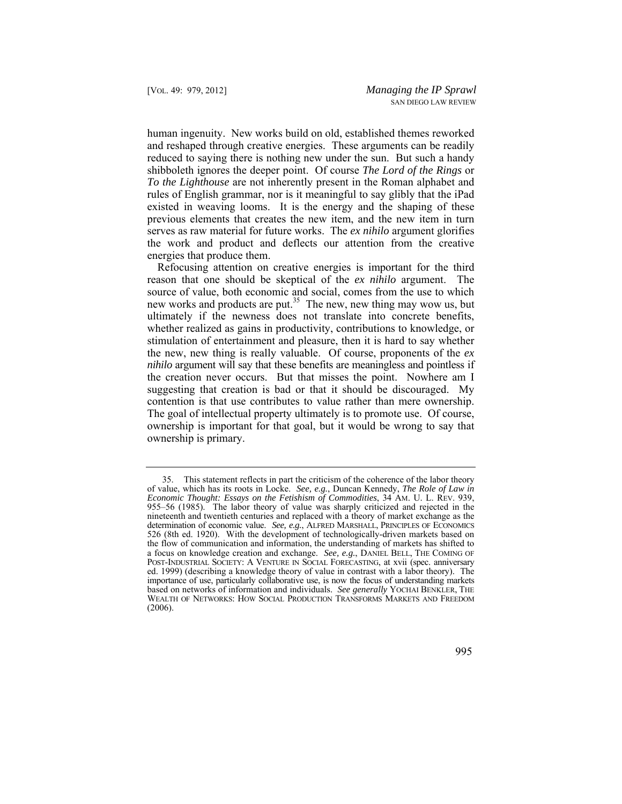rules of English grammar, nor is it meaningful to say glibly that the iPad human ingenuity. New works build on old, established themes reworked and reshaped through creative energies. These arguments can be readily reduced to saying there is nothing new under the sun. But such a handy shibboleth ignores the deeper point. Of course *The Lord of the Rings* or *To the Lighthouse* are not inherently present in the Roman alphabet and existed in weaving looms. It is the energy and the shaping of these previous elements that creates the new item, and the new item in turn serves as raw material for future works. The *ex nihilo* argument glorifies the work and product and deflects our attention from the creative energies that produce them.

 the creation never occurs. But that misses the point. Nowhere am I Refocusing attention on creative energies is important for the third reason that one should be skeptical of the *ex nihilo* argument. The source of value, both economic and social, comes from the use to which new works and products are put.<sup>35</sup> The new, new thing may wow us, but ultimately if the newness does not translate into concrete benefits, whether realized as gains in productivity, contributions to knowledge, or stimulation of entertainment and pleasure, then it is hard to say whether the new, new thing is really valuable. Of course, proponents of the *ex nihilo* argument will say that these benefits are meaningless and pointless if suggesting that creation is bad or that it should be discouraged. My contention is that use contributes to value rather than mere ownership. The goal of intellectual property ultimately is to promote use. Of course, ownership is important for that goal, but it would be wrong to say that ownership is primary.

 determination of economic value. *See, e.g.*, ALFRED MARSHALL, PRINCIPLES OF ECONOMICS POST-INDUSTRIAL SOCIETY: A VENTURE IN SOCIAL FORECASTING, at xvii (spec. anniversary 35. This statement reflects in part the criticism of the coherence of the labor theory of value, which has its roots in Locke. *See, e.g.*, Duncan Kennedy, *The Role of Law in Economic Thought: Essays on the Fetishism of Commodities*, 34 AM. U. L. REV. 939, 955–56 (1985). The labor theory of value was sharply criticized and rejected in the nineteenth and twentieth centuries and replaced with a theory of market exchange as the 526 (8th ed. 1920). With the development of technologically-driven markets based on the flow of communication and information, the understanding of markets has shifted to a focus on knowledge creation and exchange. *See, e.g.*, DANIEL BELL, THE COMING OF ed. 1999) (describing a knowledge theory of value in contrast with a labor theory). The importance of use, particularly collaborative use, is now the focus of understanding markets based on networks of information and individuals. *See generally* YOCHAI BENKLER, THE WEALTH OF NETWORKS: HOW SOCIAL PRODUCTION TRANSFORMS MARKETS AND FREEDOM (2006).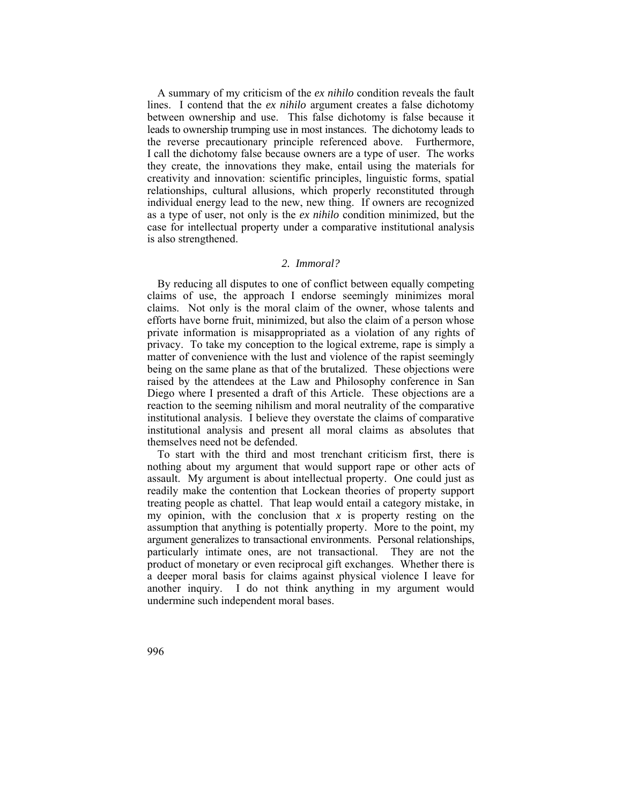A summary of my criticism of the *ex nihilo* condition reveals the fault lines. I contend that the *ex nihilo* argument creates a false dichotomy between ownership and use. This false dichotomy is false because it leads to ownership trumping use in most instances. The dichotomy leads to the reverse precautionary principle referenced above. Furthermore, I call the dichotomy false because owners are a type of user. The works they create, the innovations they make, entail using the materials for creativity and innovation: scientific principles, linguistic forms, spatial relationships, cultural allusions, which properly reconstituted through individual energy lead to the new, new thing. If owners are recognized as a type of user, not only is the *ex nihilo* condition minimized, but the case for intellectual property under a comparative institutional analysis is also strengthened.

## *2. Immoral?*

 privacy. To take my conception to the logical extreme, rape is simply a By reducing all disputes to one of conflict between equally competing claims of use, the approach I endorse seemingly minimizes moral claims. Not only is the moral claim of the owner, whose talents and efforts have borne fruit, minimized, but also the claim of a person whose private information is misappropriated as a violation of any rights of matter of convenience with the lust and violence of the rapist seemingly being on the same plane as that of the brutalized. These objections were raised by the attendees at the Law and Philosophy conference in San Diego where I presented a draft of this Article. These objections are a reaction to the seeming nihilism and moral neutrality of the comparative institutional analysis. I believe they overstate the claims of comparative institutional analysis and present all moral claims as absolutes that themselves need not be defended.

To start with the third and most trenchant criticism first, there is nothing about my argument that would support rape or other acts of assault. My argument is about intellectual property. One could just as readily make the contention that Lockean theories of property support treating people as chattel. That leap would entail a category mistake, in my opinion, with the conclusion that *x* is property resting on the assumption that anything is potentially property. More to the point, my argument generalizes to transactional environments. Personal relationships, particularly intimate ones, are not transactional. They are not the product of monetary or even reciprocal gift exchanges. Whether there is a deeper moral basis for claims against physical violence I leave for another inquiry. I do not think anything in my argument would undermine such independent moral bases.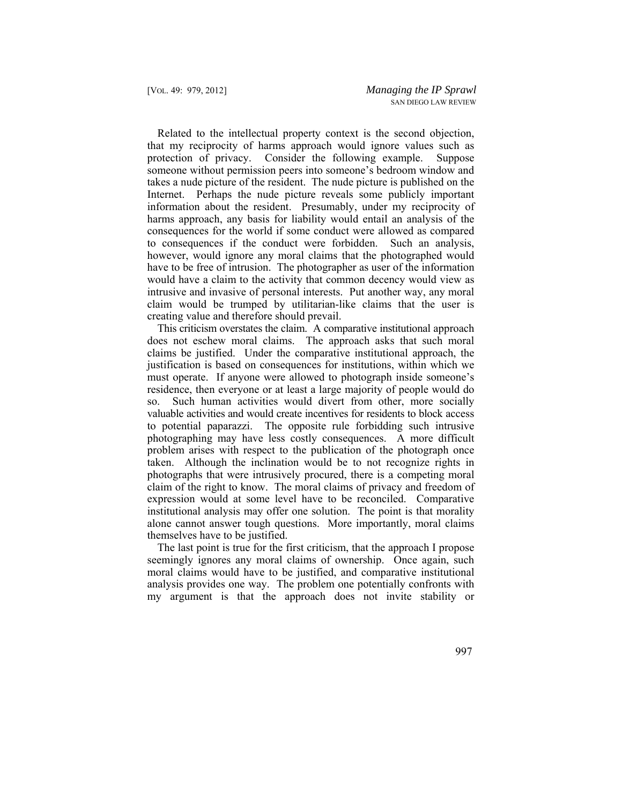Internet. Perhaps the nude picture reveals some publicly important Related to the intellectual property context is the second objection, that my reciprocity of harms approach would ignore values such as protection of privacy. Consider the following example. Suppose someone without permission peers into someone's bedroom window and takes a nude picture of the resident. The nude picture is published on the information about the resident. Presumably, under my reciprocity of harms approach, any basis for liability would entail an analysis of the consequences for the world if some conduct were allowed as compared to consequences if the conduct were forbidden. Such an analysis, however, would ignore any moral claims that the photographed would have to be free of intrusion. The photographer as user of the information would have a claim to the activity that common decency would view as intrusive and invasive of personal interests. Put another way, any moral claim would be trumped by utilitarian-like claims that the user is creating value and therefore should prevail.

This criticism overstates the claim. A comparative institutional approach does not eschew moral claims. The approach asks that such moral claims be justified. Under the comparative institutional approach, the justification is based on consequences for institutions, within which we must operate. If anyone were allowed to photograph inside someone's residence, then everyone or at least a large majority of people would do so. Such human activities would divert from other, more socially valuable activities and would create incentives for residents to block access to potential paparazzi. The opposite rule forbidding such intrusive photographing may have less costly consequences. A more difficult problem arises with respect to the publication of the photograph once taken. Although the inclination would be to not recognize rights in photographs that were intrusively procured, there is a competing moral claim of the right to know. The moral claims of privacy and freedom of expression would at some level have to be reconciled. Comparative institutional analysis may offer one solution. The point is that morality alone cannot answer tough questions. More importantly, moral claims themselves have to be justified.

The last point is true for the first criticism, that the approach I propose seemingly ignores any moral claims of ownership. Once again, such moral claims would have to be justified, and comparative institutional analysis provides one way. The problem one potentially confronts with my argument is that the approach does not invite stability or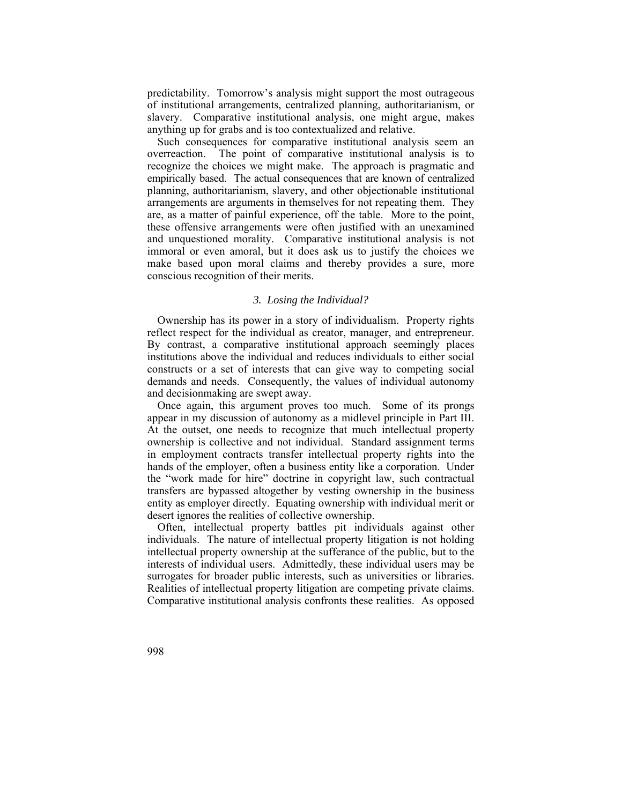predictability. Tomorrow's analysis might support the most outrageous of institutional arrangements, centralized planning, authoritarianism, or slavery. Comparative institutional analysis, one might argue, makes anything up for grabs and is too contextualized and relative.

Such consequences for comparative institutional analysis seem an overreaction. The point of comparative institutional analysis is to recognize the choices we might make. The approach is pragmatic and empirically based. The actual consequences that are known of centralized planning, authoritarianism, slavery, and other objectionable institutional arrangements are arguments in themselves for not repeating them. They are, as a matter of painful experience, off the table. More to the point, these offensive arrangements were often justified with an unexamined and unquestioned morality. Comparative institutional analysis is not immoral or even amoral, but it does ask us to justify the choices we make based upon moral claims and thereby provides a sure, more conscious recognition of their merits.

## *3. Losing the Individual?*

Ownership has its power in a story of individualism. Property rights reflect respect for the individual as creator, manager, and entrepreneur. By contrast, a comparative institutional approach seemingly places institutions above the individual and reduces individuals to either social constructs or a set of interests that can give way to competing social demands and needs. Consequently, the values of individual autonomy and decisionmaking are swept away.

 hands of the employer, often a business entity like a corporation. Under Once again, this argument proves too much. Some of its prongs appear in my discussion of autonomy as a midlevel principle in Part III. At the outset, one needs to recognize that much intellectual property ownership is collective and not individual. Standard assignment terms in employment contracts transfer intellectual property rights into the the "work made for hire" doctrine in copyright law, such contractual transfers are bypassed altogether by vesting ownership in the business entity as employer directly. Equating ownership with individual merit or desert ignores the realities of collective ownership.

Often, intellectual property battles pit individuals against other individuals. The nature of intellectual property litigation is not holding intellectual property ownership at the sufferance of the public, but to the interests of individual users. Admittedly, these individual users may be surrogates for broader public interests, such as universities or libraries. Realities of intellectual property litigation are competing private claims. Comparative institutional analysis confronts these realities. As opposed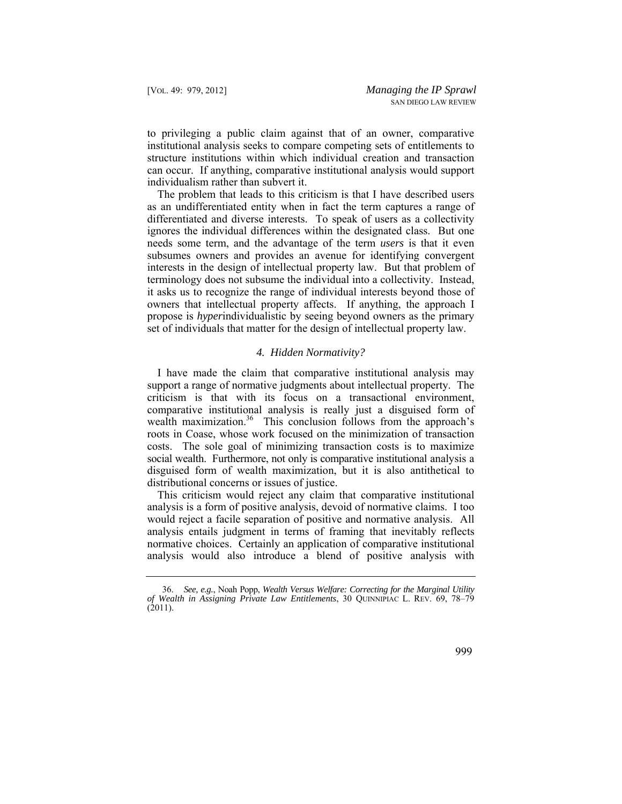to privileging a public claim against that of an owner, comparative institutional analysis seeks to compare competing sets of entitlements to structure institutions within which individual creation and transaction can occur. If anything, comparative institutional analysis would support individualism rather than subvert it.

The problem that leads to this criticism is that I have described users as an undifferentiated entity when in fact the term captures a range of differentiated and diverse interests. To speak of users as a collectivity ignores the individual differences within the designated class. But one needs some term, and the advantage of the term *users* is that it even subsumes owners and provides an avenue for identifying convergent interests in the design of intellectual property law. But that problem of terminology does not subsume the individual into a collectivity. Instead, it asks us to recognize the range of individual interests beyond those of owners that intellectual property affects. If anything, the approach I propose is *hyper*individualistic by seeing beyond owners as the primary set of individuals that matter for the design of intellectual property law.

#### *4. Hidden Normativity?*

 social wealth. Furthermore, not only is comparative institutional analysis a I have made the claim that comparative institutional analysis may support a range of normative judgments about intellectual property. The criticism is that with its focus on a transactional environment, comparative institutional analysis is really just a disguised form of wealth maximization.<sup>36</sup> This conclusion follows from the approach's roots in Coase, whose work focused on the minimization of transaction costs. The sole goal of minimizing transaction costs is to maximize disguised form of wealth maximization, but it is also antithetical to distributional concerns or issues of justice.

This criticism would reject any claim that comparative institutional analysis is a form of positive analysis, devoid of normative claims. I too would reject a facile separation of positive and normative analysis. All analysis entails judgment in terms of framing that inevitably reflects normative choices. Certainly an application of comparative institutional analysis would also introduce a blend of positive analysis with

<sup>36.</sup> *See, e.g.*, Noah Popp, *Wealth Versus Welfare: Correcting for the Marginal Utility of Wealth in Assigning Private Law Entitlements*, 30 QUINNIPIAC L. REV. 69, 78–79  $(2011).$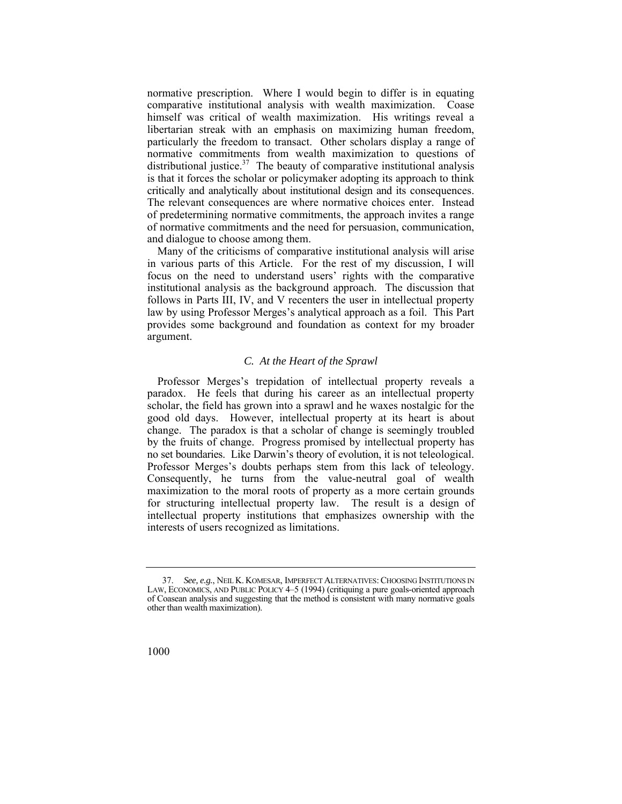himself was critical of wealth maximization. His writings reveal a normative prescription. Where I would begin to differ is in equating comparative institutional analysis with wealth maximization. Coase libertarian streak with an emphasis on maximizing human freedom, particularly the freedom to transact. Other scholars display a range of normative commitments from wealth maximization to questions of distributional justice. $37$  The beauty of comparative institutional analysis is that it forces the scholar or policymaker adopting its approach to think critically and analytically about institutional design and its consequences. The relevant consequences are where normative choices enter. Instead of predetermining normative commitments, the approach invites a range of normative commitments and the need for persuasion, communication, and dialogue to choose among them.

Many of the criticisms of comparative institutional analysis will arise in various parts of this Article. For the rest of my discussion, I will focus on the need to understand users' rights with the comparative institutional analysis as the background approach. The discussion that follows in Parts III, IV, and V recenters the user in intellectual property law by using Professor Merges's analytical approach as a foil. This Part provides some background and foundation as context for my broader argument.

#### *C. At the Heart of the Sprawl*

Professor Merges's trepidation of intellectual property reveals a paradox. He feels that during his career as an intellectual property scholar, the field has grown into a sprawl and he waxes nostalgic for the good old days. However, intellectual property at its heart is about change. The paradox is that a scholar of change is seemingly troubled by the fruits of change. Progress promised by intellectual property has no set boundaries. Like Darwin's theory of evolution, it is not teleological. Professor Merges's doubts perhaps stem from this lack of teleology. Consequently, he turns from the value-neutral goal of wealth maximization to the moral roots of property as a more certain grounds for structuring intellectual property law. The result is a design of intellectual property institutions that emphasizes ownership with the interests of users recognized as limitations.

 LAW, ECONOMICS, AND PUBLIC POLICY 4–5 (1994) (critiquing a pure goals-oriented approach of Coasean analysis and suggesting that the method is consistent with many normative goals 37. *See, e.g.*, NEIL K. KOMESAR, IMPERFECT ALTERNATIVES: CHOOSING INSTITUTIONS IN other than wealth maximization).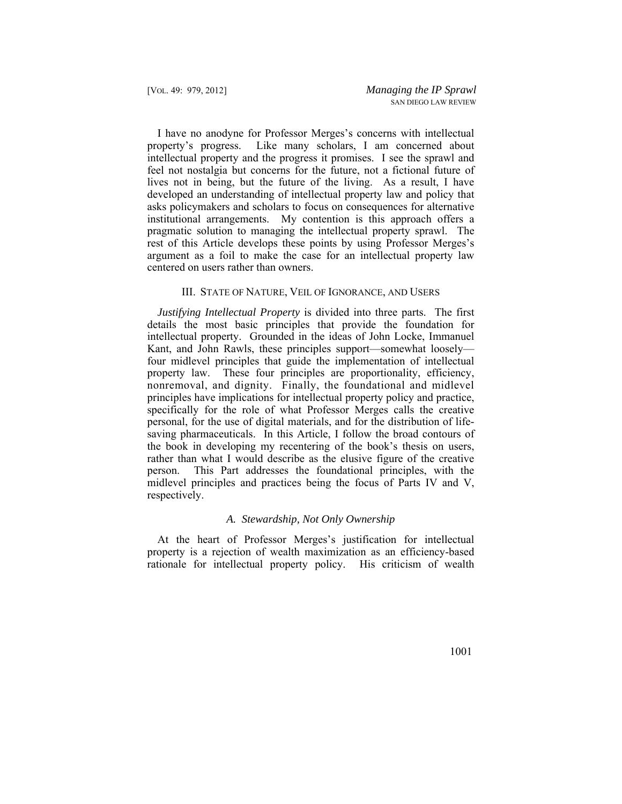I have no anodyne for Professor Merges's concerns with intellectual property's progress. Like many scholars, I am concerned about intellectual property and the progress it promises. I see the sprawl and feel not nostalgia but concerns for the future, not a fictional future of lives not in being, but the future of the living. As a result, I have developed an understanding of intellectual property law and policy that asks policymakers and scholars to focus on consequences for alternative institutional arrangements. My contention is this approach offers a pragmatic solution to managing the intellectual property sprawl. The rest of this Article develops these points by using Professor Merges's argument as a foil to make the case for an intellectual property law centered on users rather than owners.

## III. STATE OF NATURE, VEIL OF IGNORANCE, AND USERS

*Justifying Intellectual Property* is divided into three parts. The first details the most basic principles that provide the foundation for intellectual property. Grounded in the ideas of John Locke, Immanuel Kant, and John Rawls, these principles support—somewhat loosely four midlevel principles that guide the implementation of intellectual property law. These four principles are proportionality, efficiency, nonremoval, and dignity. Finally, the foundational and midlevel principles have implications for intellectual property policy and practice, specifically for the role of what Professor Merges calls the creative personal, for the use of digital materials, and for the distribution of lifesaving pharmaceuticals. In this Article, I follow the broad contours of the book in developing my recentering of the book's thesis on users, rather than what I would describe as the elusive figure of the creative person. This Part addresses the foundational principles, with the midlevel principles and practices being the focus of Parts IV and V, respectively.

## *A. Stewardship, Not Only Ownership*

At the heart of Professor Merges's justification for intellectual property is a rejection of wealth maximization as an efficiency-based rationale for intellectual property policy. His criticism of wealth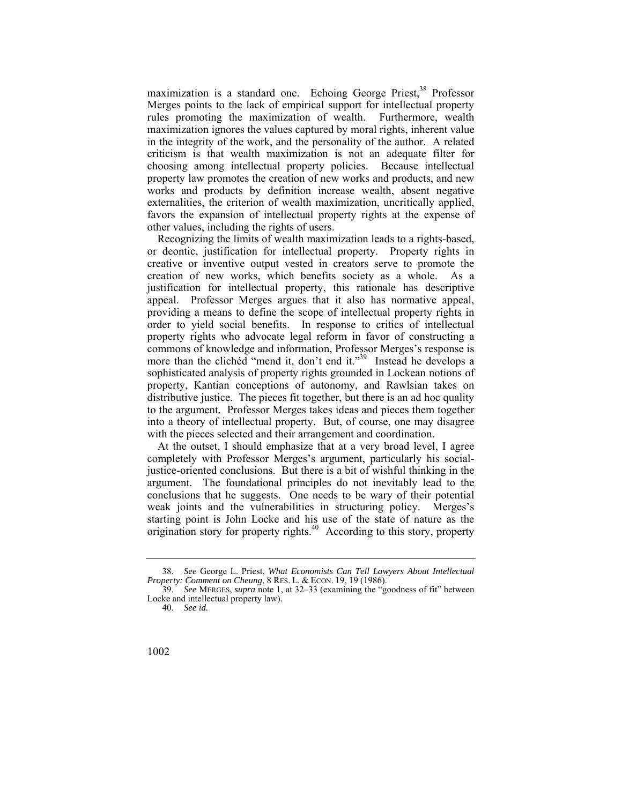maximization is a standard one. Echoing George Priest,<sup>38</sup> Professor Merges points to the lack of empirical support for intellectual property rules promoting the maximization of wealth. Furthermore, wealth maximization ignores the values captured by moral rights, inherent value in the integrity of the work, and the personality of the author. A related criticism is that wealth maximization is not an adequate filter for choosing among intellectual property policies. Because intellectual property law promotes the creation of new works and products, and new works and products by definition increase wealth, absent negative externalities, the criterion of wealth maximization, uncritically applied, favors the expansion of intellectual property rights at the expense of other values, including the rights of users.

Recognizing the limits of wealth maximization leads to a rights-based, or deontic, justification for intellectual property. Property rights in creative or inventive output vested in creators serve to promote the creation of new works, which benefits society as a whole. As a justification for intellectual property, this rationale has descriptive appeal. Professor Merges argues that it also has normative appeal, providing a means to define the scope of intellectual property rights in order to yield social benefits. In response to critics of intellectual property rights who advocate legal reform in favor of constructing a commons of knowledge and information, Professor Merges's response is more than the clichéd "mend it, don't end it."<sup>39</sup> Instead he develops a sophisticated analysis of property rights grounded in Lockean notions of property, Kantian conceptions of autonomy, and Rawlsian takes on distributive justice. The pieces fit together, but there is an ad hoc quality to the argument. Professor Merges takes ideas and pieces them together into a theory of intellectual property. But, of course, one may disagree with the pieces selected and their arrangement and coordination.

At the outset, I should emphasize that at a very broad level, I agree completely with Professor Merges's argument, particularly his socialjustice-oriented conclusions. But there is a bit of wishful thinking in the argument. The foundational principles do not inevitably lead to the conclusions that he suggests. One needs to be wary of their potential weak joints and the vulnerabilities in structuring policy. Merges's starting point is John Locke and his use of the state of nature as the origination story for property rights. $40$  According to this story, property

 38. *See* George L. Priest, *What Economists Can Tell Lawyers About Intellectual Property: Comment on Cheung*, 8 RES. L. & ECON. 19, 19 (1986).

 Locke and intellectual property law). 39. *See* MERGES, *supra* note 1, at 32–33 (examining the "goodness of fit" between

<sup>40.</sup> *See id.*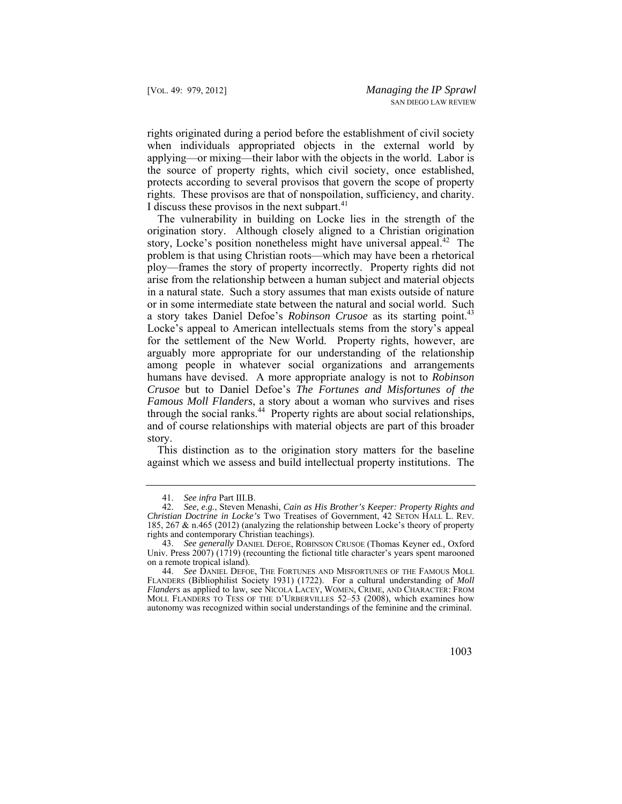rights originated during a period before the establishment of civil society when individuals appropriated objects in the external world by applying—or mixing—their labor with the objects in the world. Labor is the source of property rights, which civil society, once established, protects according to several provisos that govern the scope of property rights. These provisos are that of nonspoilation, sufficiency, and charity. I discuss these provisos in the next subpart.<sup>41</sup>

a story takes Daniel Defoe's *Robinson Crusoe* as its starting point.<sup>43</sup> through the social ranks.<sup>44</sup> Property rights are about social relationships, The vulnerability in building on Locke lies in the strength of the origination story. Although closely aligned to a Christian origination story, Locke's position nonetheless might have universal appeal.<sup>42</sup> The problem is that using Christian roots—which may have been a rhetorical ploy—frames the story of property incorrectly. Property rights did not arise from the relationship between a human subject and material objects in a natural state. Such a story assumes that man exists outside of nature or in some intermediate state between the natural and social world. Such Locke's appeal to American intellectuals stems from the story's appeal for the settlement of the New World. Property rights, however, are arguably more appropriate for our understanding of the relationship among people in whatever social organizations and arrangements humans have devised. A more appropriate analogy is not to *Robinson Crusoe* but to Daniel Defoe's *The Fortunes and Misfortunes of the Famous Moll Flanders*, a story about a woman who survives and rises and of course relationships with material objects are part of this broader story.

This distinction as to the origination story matters for the baseline against which we assess and build intellectual property institutions. The

<sup>41.</sup> *See infra* Part III.B.

<sup>42.</sup> *See, e.g.*, Steven Menashi, *Cain as His Brother's Keeper: Property Rights and Christian Doctrine in Locke's* Two Treatises of Government, 42 SETON HALL L. REV. 185, 267 & n.465 (2012) (analyzing the relationship between Locke's theory of property rights and contemporary Christian teachings).

<sup>43.</sup> *See generally* DANIEL DEFOE, ROBINSON CRUSOE (Thomas Keyner ed., Oxford Univ. Press 2007) (1719) (recounting the fictional title character's years spent marooned on a remote tropical island).

<sup>44.</sup> *See* DANIEL DEFOE, THE FORTUNES AND MISFORTUNES OF THE FAMOUS MOLL FLANDERS (Bibliophilist Society 1931) (1722). For a cultural understanding of *Moll Flanders* as applied to law, see NICOLA LACEY, WOMEN, CRIME, AND CHARACTER: FROM MOLL FLANDERS TO TESS OF THE D'URBERVILLES 52–53 (2008), which examines how autonomy was recognized within social understandings of the feminine and the criminal.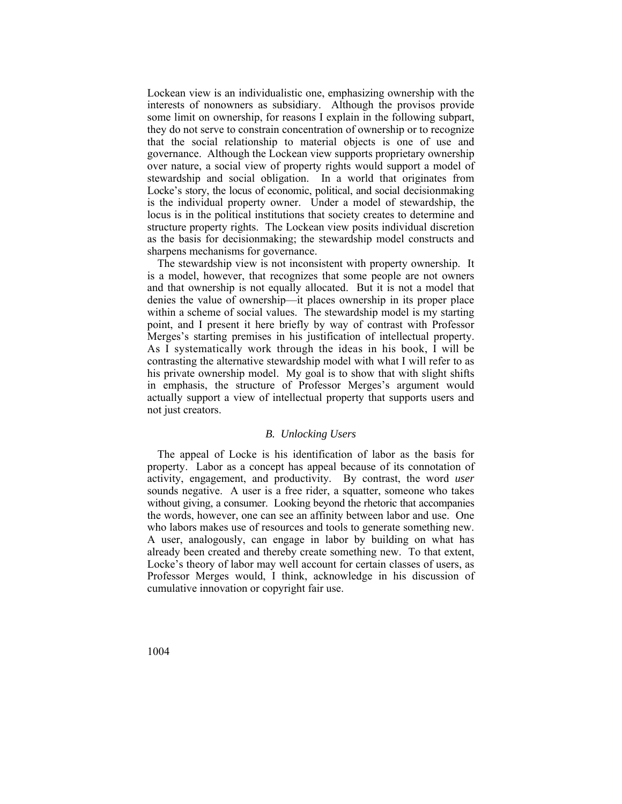Lockean view is an individualistic one, emphasizing ownership with the interests of nonowners as subsidiary. Although the provisos provide some limit on ownership, for reasons I explain in the following subpart, they do not serve to constrain concentration of ownership or to recognize that the social relationship to material objects is one of use and governance. Although the Lockean view supports proprietary ownership over nature, a social view of property rights would support a model of stewardship and social obligation. In a world that originates from Locke's story, the locus of economic, political, and social decisionmaking is the individual property owner. Under a model of stewardship, the locus is in the political institutions that society creates to determine and structure property rights. The Lockean view posits individual discretion as the basis for decisionmaking; the stewardship model constructs and sharpens mechanisms for governance.

The stewardship view is not inconsistent with property ownership. It is a model, however, that recognizes that some people are not owners and that ownership is not equally allocated. But it is not a model that denies the value of ownership—it places ownership in its proper place within a scheme of social values. The stewardship model is my starting point, and I present it here briefly by way of contrast with Professor Merges's starting premises in his justification of intellectual property. As I systematically work through the ideas in his book, I will be contrasting the alternative stewardship model with what I will refer to as his private ownership model. My goal is to show that with slight shifts in emphasis, the structure of Professor Merges's argument would actually support a view of intellectual property that supports users and not just creators.

#### *B. Unlocking Users*

The appeal of Locke is his identification of labor as the basis for property. Labor as a concept has appeal because of its connotation of activity, engagement, and productivity. By contrast, the word *user*  sounds negative. A user is a free rider, a squatter, someone who takes without giving, a consumer. Looking beyond the rhetoric that accompanies the words, however, one can see an affinity between labor and use. One who labors makes use of resources and tools to generate something new. A user, analogously, can engage in labor by building on what has already been created and thereby create something new. To that extent, Locke's theory of labor may well account for certain classes of users, as Professor Merges would, I think, acknowledge in his discussion of cumulative innovation or copyright fair use.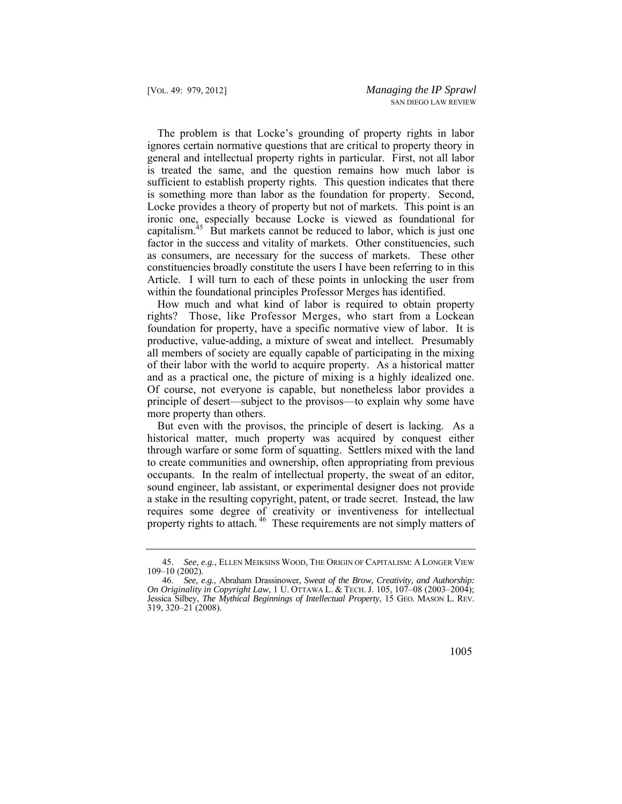Locke provides a theory of property but not of markets. This point is an [capitalism.](https://capitalism.45)<sup>45</sup> But markets cannot be reduced to labor, which is just one The problem is that Locke's grounding of property rights in labor ignores certain normative questions that are critical to property theory in general and intellectual property rights in particular. First, not all labor is treated the same, and the question remains how much labor is sufficient to establish property rights. This question indicates that there is something more than labor as the foundation for property. Second, ironic one, especially because Locke is viewed as foundational for factor in the success and vitality of markets. Other constituencies, such as consumers, are necessary for the success of markets. These other constituencies broadly constitute the users I have been referring to in this Article. I will turn to each of these points in unlocking the user from within the foundational principles Professor Merges has identified.

 rights? Those, like Professor Merges, who start from a Lockean How much and what kind of labor is required to obtain property foundation for property, have a specific normative view of labor. It is productive, value-adding, a mixture of sweat and intellect. Presumably all members of society are equally capable of participating in the mixing of their labor with the world to acquire property. As a historical matter and as a practical one, the picture of mixing is a highly idealized one. Of course, not everyone is capable, but nonetheless labor provides a principle of desert—subject to the provisos—to explain why some have more property than others.

property rights to attach.<sup>46</sup> These requirements are not simply matters of But even with the provisos, the principle of desert is lacking. As a historical matter, much property was acquired by conquest either through warfare or some form of squatting. Settlers mixed with the land to create communities and ownership, often appropriating from previous occupants. In the realm of intellectual property, the sweat of an editor, sound engineer, lab assistant, or experimental designer does not provide a stake in the resulting copyright, patent, or trade secret. Instead, the law requires some degree of creativity or inventiveness for intellectual

 45. *See, e.g.*, ELLEN MEIKSINS WOOD, THE ORIGIN OF CAPITALISM: A LONGER VIEW 109–10 (2002).

 *On Originality in Copyright Law*, 1 U. OTTAWA L. & TECH. J. 105, 107–08 (2003–2004); 46. *See, e.g.*, Abraham Drassinower, *Sweat of the Brow, Creativity, and Authorship:*  Jessica Silbey, *The Mythical Beginnings of Intellectual Property*, 15 GEO. MASON L. REV. 319, 320–21 (2008).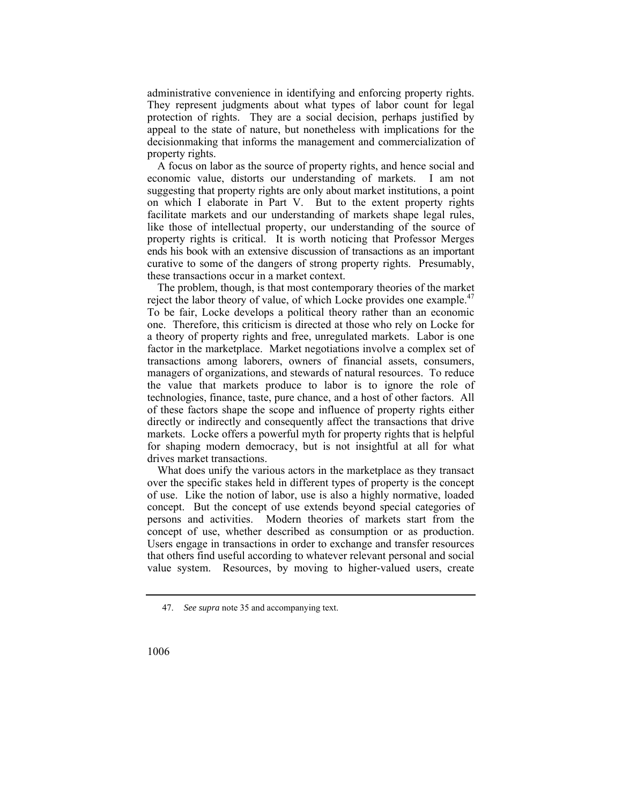administrative convenience in identifying and enforcing property rights. They represent judgments about what types of labor count for legal protection of rights. They are a social decision, perhaps justified by appeal to the state of nature, but nonetheless with implications for the decisionmaking that informs the management and commercialization of property rights.

A focus on labor as the source of property rights, and hence social and economic value, distorts our understanding of markets. I am not suggesting that property rights are only about market institutions, a point on which I elaborate in Part V. But to the extent property rights facilitate markets and our understanding of markets shape legal rules, like those of intellectual property, our understanding of the source of property rights is critical. It is worth noticing that Professor Merges ends his book with an extensive discussion of transactions as an important curative to some of the dangers of strong property rights. Presumably, these transactions occur in a market context.

The problem, though, is that most contemporary theories of the market reject the labor theory of value, of which Locke provides one example.<sup>4</sup> To be fair, Locke develops a political theory rather than an economic one. Therefore, this criticism is directed at those who rely on Locke for a theory of property rights and free, unregulated markets. Labor is one factor in the marketplace. Market negotiations involve a complex set of transactions among laborers, owners of financial assets, consumers, managers of organizations, and stewards of natural resources. To reduce the value that markets produce to labor is to ignore the role of technologies, finance, taste, pure chance, and a host of other factors. All of these factors shape the scope and influence of property rights either directly or indirectly and consequently affect the transactions that drive markets. Locke offers a powerful myth for property rights that is helpful for shaping modern democracy, but is not insightful at all for what drives market transactions.

What does unify the various actors in the marketplace as they transact over the specific stakes held in different types of property is the concept of use. Like the notion of labor, use is also a highly normative, loaded concept. But the concept of use extends beyond special categories of persons and activities. Modern theories of markets start from the concept of use, whether described as consumption or as production. Users engage in transactions in order to exchange and transfer resources that others find useful according to whatever relevant personal and social value system. Resources, by moving to higher-valued users, create

<sup>47.</sup> *See supra* note 35 and accompanying text.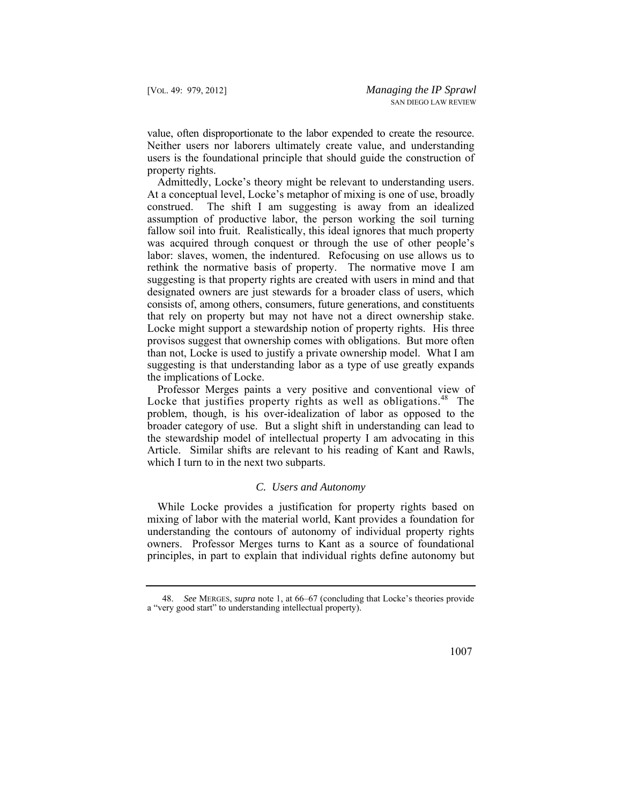value, often disproportionate to the labor expended to create the resource. Neither users nor laborers ultimately create value, and understanding users is the foundational principle that should guide the construction of property rights.

Admittedly, Locke's theory might be relevant to understanding users. At a conceptual level, Locke's metaphor of mixing is one of use, broadly construed. The shift I am suggesting is away from an idealized assumption of productive labor, the person working the soil turning fallow soil into fruit. Realistically, this ideal ignores that much property was acquired through conquest or through the use of other people's labor: slaves, women, the indentured. Refocusing on use allows us to rethink the normative basis of property. The normative move I am suggesting is that property rights are created with users in mind and that designated owners are just stewards for a broader class of users, which consists of, among others, consumers, future generations, and constituents that rely on property but may not have not a direct ownership stake. Locke might support a stewardship notion of property rights. His three provisos suggest that ownership comes with obligations. But more often than not, Locke is used to justify a private ownership model. What I am suggesting is that understanding labor as a type of use greatly expands the implications of Locke.

Professor Merges paints a very positive and conventional view of Locke that justifies property rights as well as obligations.<sup>48</sup> The problem, though, is his over-idealization of labor as opposed to the broader category of use. But a slight shift in understanding can lead to the stewardship model of intellectual property I am advocating in this Article. Similar shifts are relevant to his reading of Kant and Rawls, which I turn to in the next two subparts.

#### *C. Users and Autonomy*

While Locke provides a justification for property rights based on mixing of labor with the material world, Kant provides a foundation for understanding the contours of autonomy of individual property rights owners. Professor Merges turns to Kant as a source of foundational principles, in part to explain that individual rights define autonomy but

<sup>48.</sup> *See* MERGES, *supra* note 1, at 66–67 (concluding that Locke's theories provide a "very good start" to understanding intellectual property).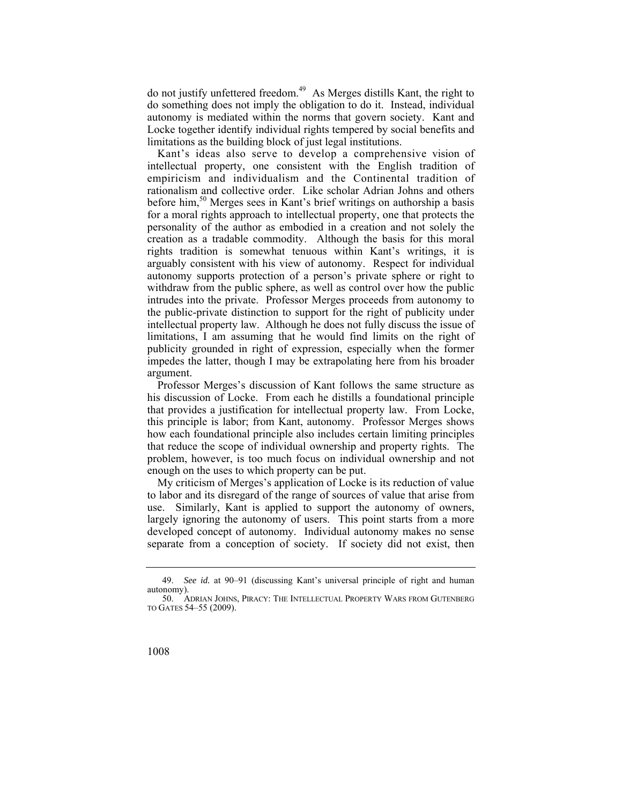do not justify unfettered freedom.<sup>49</sup> As Merges distills Kant, the right to do something does not imply the obligation to do it. Instead, individual autonomy is mediated within the norms that govern society. Kant and Locke together identify individual rights tempered by social benefits and limitations as the building block of just legal institutions.

 Kant's ideas also serve to develop a comprehensive vision of intellectual property, one consistent with the English tradition of empiricism and individualism and the Continental tradition of rationalism and collective order. Like scholar Adrian Johns and others before him,<sup>50</sup> Merges sees in Kant's brief writings on authorship a basis for a moral rights approach to intellectual property, one that protects the personality of the author as embodied in a creation and not solely the creation as a tradable commodity. Although the basis for this moral rights tradition is somewhat tenuous within Kant's writings, it is arguably consistent with his view of autonomy. Respect for individual autonomy supports protection of a person's private sphere or right to withdraw from the public sphere, as well as control over how the public intrudes into the private. Professor Merges proceeds from autonomy to the public-private distinction to support for the right of publicity under intellectual property law. Although he does not fully discuss the issue of limitations, I am assuming that he would find limits on the right of publicity grounded in right of expression, especially when the former impedes the latter, though I may be extrapolating here from his broader argument.

 that provides a justification for intellectual property law. From Locke, Professor Merges's discussion of Kant follows the same structure as his discussion of Locke. From each he distills a foundational principle this principle is labor; from Kant, autonomy. Professor Merges shows how each foundational principle also includes certain limiting principles that reduce the scope of individual ownership and property rights. The problem, however, is too much focus on individual ownership and not enough on the uses to which property can be put.

My criticism of Merges's application of Locke is its reduction of value to labor and its disregard of the range of sources of value that arise from use. Similarly, Kant is applied to support the autonomy of owners, largely ignoring the autonomy of users. This point starts from a more developed concept of autonomy. Individual autonomy makes no sense separate from a conception of society. If society did not exist, then

<sup>49.</sup> *See id.* at 90–91 (discussing Kant's universal principle of right and human autonomy).

 50. ADRIAN JOHNS, PIRACY: THE INTELLECTUAL PROPERTY WARS FROM GUTENBERG TO GATES 54–55 (2009).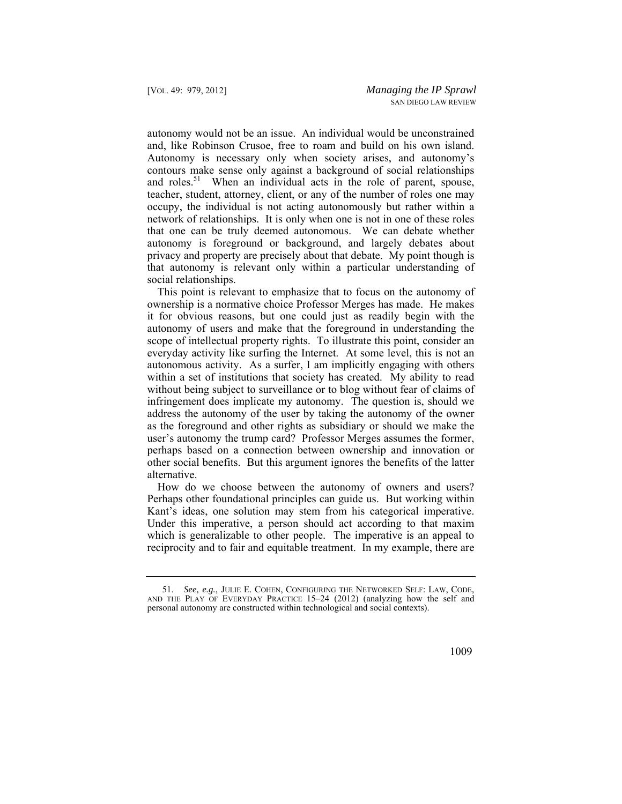and, like Robinson Crusoe, free to roam and build on his own island. autonomy would not be an issue. An individual would be unconstrained Autonomy is necessary only when society arises, and autonomy's contours make sense only against a background of social relationships and roles.<sup>51</sup> When an individual acts in the role of parent, spouse, teacher, student, attorney, client, or any of the number of roles one may occupy, the individual is not acting autonomously but rather within a network of relationships. It is only when one is not in one of these roles that one can be truly deemed autonomous. We can debate whether autonomy is foreground or background, and largely debates about privacy and property are precisely about that debate. My point though is that autonomy is relevant only within a particular understanding of social relationships.

 ownership is a normative choice Professor Merges has made. He makes This point is relevant to emphasize that to focus on the autonomy of it for obvious reasons, but one could just as readily begin with the autonomy of users and make that the foreground in understanding the scope of intellectual property rights. To illustrate this point, consider an everyday activity like surfing the Internet. At some level, this is not an autonomous activity. As a surfer, I am implicitly engaging with others within a set of institutions that society has created. My ability to read without being subject to surveillance or to blog without fear of claims of infringement does implicate my autonomy. The question is, should we address the autonomy of the user by taking the autonomy of the owner as the foreground and other rights as subsidiary or should we make the user's autonomy the trump card? Professor Merges assumes the former, perhaps based on a connection between ownership and innovation or other social benefits. But this argument ignores the benefits of the latter alternative.

How do we choose between the autonomy of owners and users? Perhaps other foundational principles can guide us. But working within Kant's ideas, one solution may stem from his categorical imperative. Under this imperative, a person should act according to that maxim which is generalizable to other people. The imperative is an appeal to reciprocity and to fair and equitable treatment. In my example, there are

 51. *See, e.g.*, JULIE E. COHEN, CONFIGURING THE NETWORKED SELF: LAW, CODE, AND THE PLAY OF EVERYDAY PRACTICE 15–24 (2012) (analyzing how the self and personal autonomy are constructed within technological and social contexts).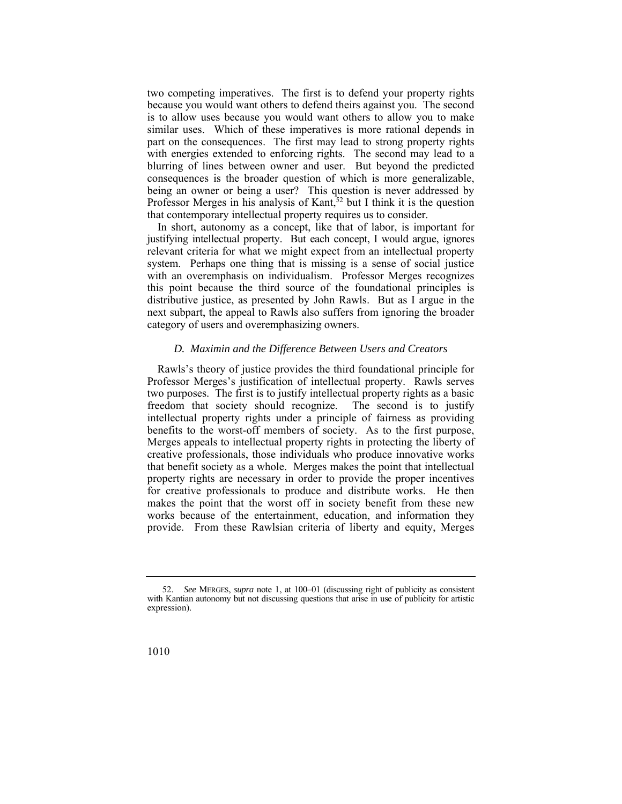two competing imperatives. The first is to defend your property rights because you would want others to defend theirs against you. The second is to allow uses because you would want others to allow you to make similar uses. Which of these imperatives is more rational depends in part on the consequences. The first may lead to strong property rights with energies extended to enforcing rights. The second may lead to a blurring of lines between owner and user. But beyond the predicted consequences is the broader question of which is more generalizable, being an owner or being a user? This question is never addressed by Professor Merges in his analysis of Kant,  $52$  but I think it is the question that contemporary intellectual property requires us to consider.

In short, autonomy as a concept, like that of labor, is important for justifying intellectual property. But each concept, I would argue, ignores relevant criteria for what we might expect from an intellectual property system. Perhaps one thing that is missing is a sense of social justice with an overemphasis on individualism. Professor Merges recognizes this point because the third source of the foundational principles is distributive justice, as presented by John Rawls. But as I argue in the next subpart, the appeal to Rawls also suffers from ignoring the broader category of users and overemphasizing owners.

#### *D. Maximin and the Difference Between Users and Creators*

 two purposes. The first is to justify intellectual property rights as a basic Rawls's theory of justice provides the third foundational principle for Professor Merges's justification of intellectual property. Rawls serves freedom that society should recognize. The second is to justify intellectual property rights under a principle of fairness as providing benefits to the worst-off members of society. As to the first purpose, Merges appeals to intellectual property rights in protecting the liberty of creative professionals, those individuals who produce innovative works that benefit society as a whole. Merges makes the point that intellectual property rights are necessary in order to provide the proper incentives for creative professionals to produce and distribute works. He then makes the point that the worst off in society benefit from these new works because of the entertainment, education, and information they provide. From these Rawlsian criteria of liberty and equity, Merges

<sup>52.</sup> *See* MERGES, *supra* note 1, at 100–01 (discussing right of publicity as consistent with Kantian autonomy but not discussing questions that arise in use of publicity for artistic expression).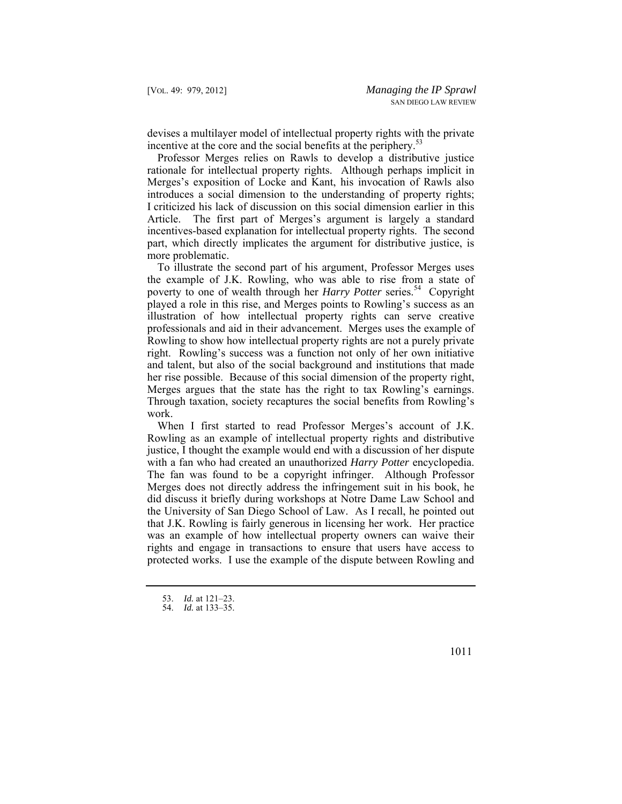devises a multilayer model of intellectual property rights with the private incentive at the core and the social benefits at the periphery.<sup>53</sup>

Professor Merges relies on Rawls to develop a distributive justice rationale for intellectual property rights. Although perhaps implicit in Merges's exposition of Locke and Kant, his invocation of Rawls also introduces a social dimension to the understanding of property rights; I criticized his lack of discussion on this social dimension earlier in this Article. The first part of Merges's argument is largely a standard incentives-based explanation for intellectual property rights. The second part, which directly implicates the argument for distributive justice, is more problematic.

To illustrate the second part of his argument, Professor Merges uses the example of J.K. Rowling, who was able to rise from a state of poverty to one of wealth through her *Harry Potter* series.<sup>54</sup> Copyright played a role in this rise, and Merges points to Rowling's success as an illustration of how intellectual property rights can serve creative professionals and aid in their advancement. Merges uses the example of Rowling to show how intellectual property rights are not a purely private right. Rowling's success was a function not only of her own initiative and talent, but also of the social background and institutions that made her rise possible. Because of this social dimension of the property right, Merges argues that the state has the right to tax Rowling's earnings. Through taxation, society recaptures the social benefits from Rowling's work.

When I first started to read Professor Merges's account of J.K. Rowling as an example of intellectual property rights and distributive justice, I thought the example would end with a discussion of her dispute with a fan who had created an unauthorized *Harry Potter* encyclopedia. The fan was found to be a copyright infringer. Although Professor Merges does not directly address the infringement suit in his book, he did discuss it briefly during workshops at Notre Dame Law School and the University of San Diego School of Law. As I recall, he pointed out that J.K. Rowling is fairly generous in licensing her work. Her practice was an example of how intellectual property owners can waive their rights and engage in transactions to ensure that users have access to protected works. I use the example of the dispute between Rowling and

<sup>53.</sup> *Id.* at 121–23.

<sup>54.</sup> *Id.* at 133–35.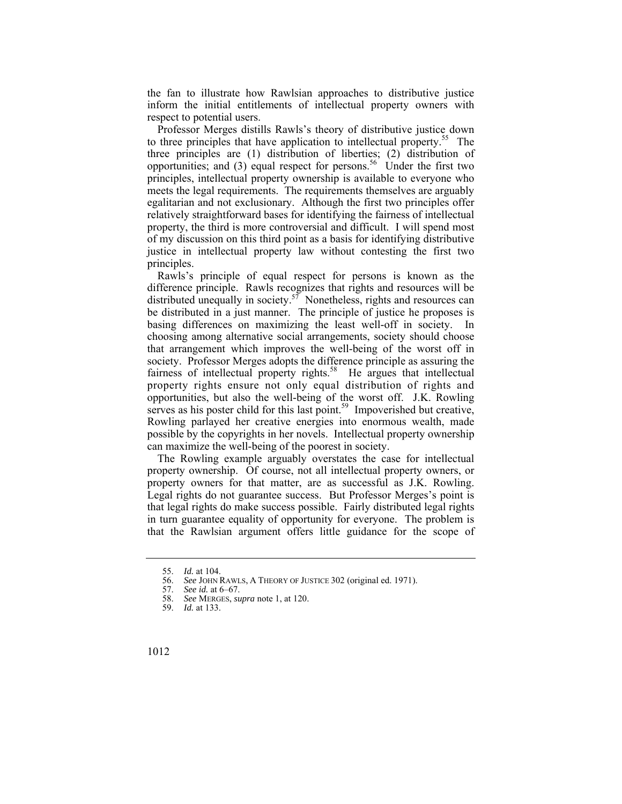the fan to illustrate how Rawlsian approaches to distributive justice inform the initial entitlements of intellectual property owners with respect to potential users.

Professor Merges distills Rawls's theory of distributive justice down to three principles that have application to intellectual property.<sup>55</sup> The three principles are (1) distribution of liberties; (2) distribution of opportunities; and  $(3)$  equal respect for persons.<sup>56</sup> Under the first two principles, intellectual property ownership is available to everyone who meets the legal requirements. The requirements themselves are arguably egalitarian and not exclusionary. Although the first two principles offer relatively straightforward bases for identifying the fairness of intellectual property, the third is more controversial and difficult. I will spend most of my discussion on this third point as a basis for identifying distributive justice in intellectual property law without contesting the first two principles.

Rawls's principle of equal respect for persons is known as the difference principle. Rawls recognizes that rights and resources will be distributed unequally in society.<sup>57</sup> Nonetheless, rights and resources can be distributed in a just manner. The principle of justice he proposes is basing differences on maximizing the least well-off in society. In choosing among alternative social arrangements, society should choose that arrangement which improves the well-being of the worst off in society. Professor Merges adopts the difference principle as assuring the fairness of intellectual property rights.<sup>58</sup> He argues that intellectual property rights ensure not only equal distribution of rights and opportunities, but also the well-being of the worst off. J.K. Rowling serves as his poster child for this last point.<sup>59</sup> Impoverished but creative, Rowling parlayed her creative energies into enormous wealth, made possible by the copyrights in her novels. Intellectual property ownership can maximize the well-being of the poorest in society.

 in turn guarantee equality of opportunity for everyone. The problem is The Rowling example arguably overstates the case for intellectual property ownership. Of course, not all intellectual property owners, or property owners for that matter, are as successful as J.K. Rowling. Legal rights do not guarantee success. But Professor Merges's point is that legal rights do make success possible. Fairly distributed legal rights that the Rawlsian argument offers little guidance for the scope of

<sup>55.</sup> *Id.* at 104.

 56. *See* JOHN RAWLS, A THEORY OF JUSTICE 302 (original ed. 1971).

<sup>57.</sup> *See id.* at 6–67.

<sup>58.</sup> *See* MERGES, *supra* note 1, at 120.

<sup>59.</sup> *Id.* at 133.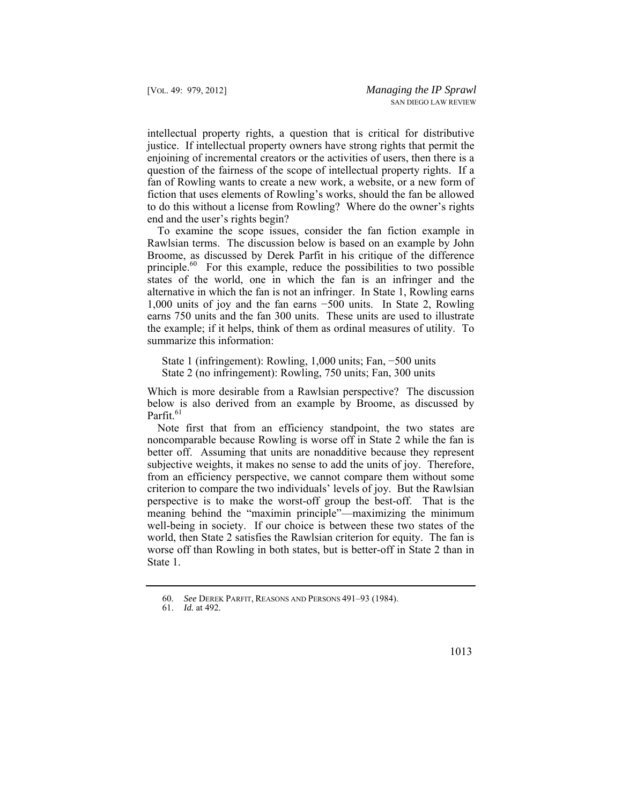intellectual property rights, a question that is critical for distributive justice. If intellectual property owners have strong rights that permit the enjoining of incremental creators or the activities of users, then there is a question of the fairness of the scope of intellectual property rights. If a fan of Rowling wants to create a new work, a website, or a new form of fiction that uses elements of Rowling's works, should the fan be allowed to do this without a license from Rowling? Where do the owner's rights end and the user's rights begin?

To examine the scope issues, consider the fan fiction example in Rawlsian terms. The discussion below is based on an example by John Broome, as discussed by Derek Parfit in his critique of the difference principle.<sup>60</sup> For this example, reduce the possibilities to two possible states of the world, one in which the fan is an infringer and the alternative in which the fan is not an infringer. In State 1, Rowling earns 1,000 units of joy and the fan earns −500 units. In State 2, Rowling earns 750 units and the fan 300 units. These units are used to illustrate the example; if it helps, think of them as ordinal measures of utility. To summarize this information:

State 1 (infringement): Rowling, 1,000 units; Fan, −500 units State 2 (no infringement): Rowling, 750 units; Fan, 300 units

Which is more desirable from a Rawlsian perspective? The discussion below is also derived from an example by Broome, as discussed by Parfit $^{61}$ 

Note first that from an efficiency standpoint, the two states are noncomparable because Rowling is worse off in State 2 while the fan is better off. Assuming that units are nonadditive because they represent subjective weights, it makes no sense to add the units of joy. Therefore, from an efficiency perspective, we cannot compare them without some criterion to compare the two individuals' levels of joy. But the Rawlsian perspective is to make the worst-off group the best-off. That is the meaning behind the "maximin principle"—maximizing the minimum well-being in society. If our choice is between these two states of the world, then State 2 satisfies the Rawlsian criterion for equity. The fan is worse off than Rowling in both states, but is better-off in State 2 than in State 1.

<sup>60.</sup> *See* DEREK PARFIT, REASONS AND PERSONS 491–93 (1984).

<sup>61.</sup> *Id.* at 492.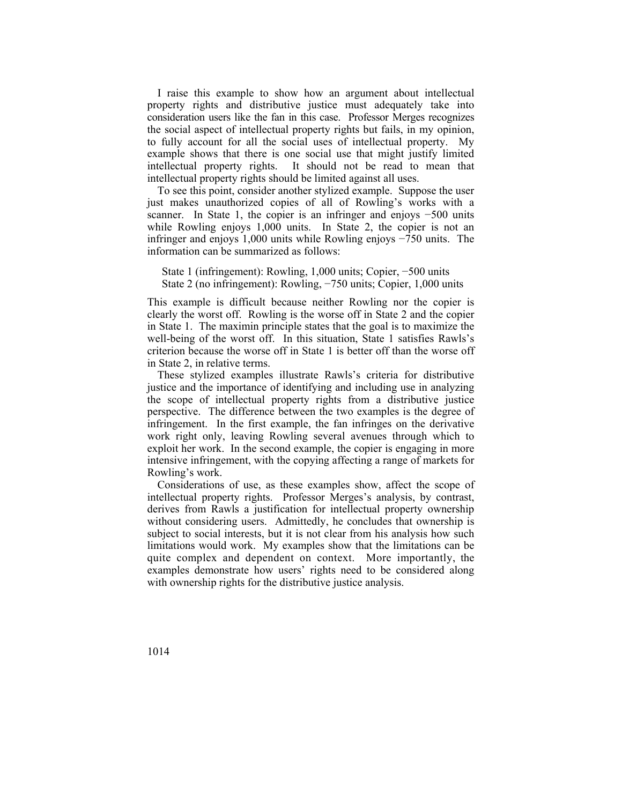I raise this example to show how an argument about intellectual property rights and distributive justice must adequately take into consideration users like the fan in this case. Professor Merges recognizes the social aspect of intellectual property rights but fails, in my opinion, to fully account for all the social uses of intellectual property. My example shows that there is one social use that might justify limited intellectual property rights. It should not be read to mean that intellectual property rights should be limited against all uses.

To see this point, consider another stylized example. Suppose the user just makes unauthorized copies of all of Rowling's works with a scanner. In State 1, the copier is an infringer and enjoys −500 units while Rowling enjoys 1,000 units. In State 2, the copier is not an infringer and enjoys 1,000 units while Rowling enjoys −750 units. The information can be summarized as follows:

State 1 (infringement): Rowling, 1,000 units; Copier, −500 units State 2 (no infringement): Rowling, −750 units; Copier, 1,000 units

This example is difficult because neither Rowling nor the copier is clearly the worst off. Rowling is the worse off in State 2 and the copier in State 1. The maximin principle states that the goal is to maximize the well-being of the worst off. In this situation, State 1 satisfies Rawls's criterion because the worse off in State 1 is better off than the worse off in State 2, in relative terms.

These stylized examples illustrate Rawls's criteria for distributive justice and the importance of identifying and including use in analyzing the scope of intellectual property rights from a distributive justice perspective. The difference between the two examples is the degree of infringement. In the first example, the fan infringes on the derivative work right only, leaving Rowling several avenues through which to exploit her work. In the second example, the copier is engaging in more intensive infringement, with the copying affecting a range of markets for Rowling's work.

 derives from Rawls a justification for intellectual property ownership quite complex and dependent on context. More importantly, the Considerations of use, as these examples show, affect the scope of intellectual property rights. Professor Merges's analysis, by contrast, without considering users. Admittedly, he concludes that ownership is subject to social interests, but it is not clear from his analysis how such limitations would work. My examples show that the limitations can be examples demonstrate how users' rights need to be considered along with ownership rights for the distributive justice analysis.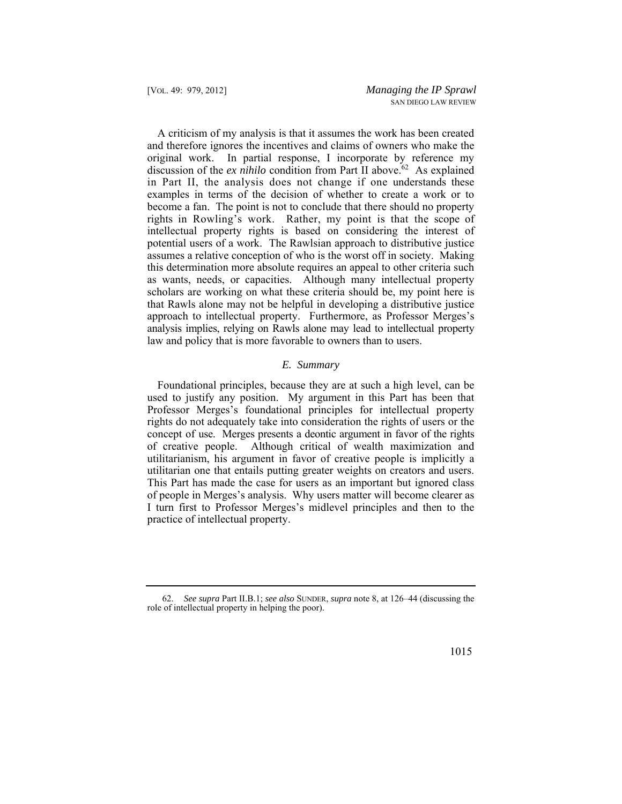in Part II, the analysis does not change if one understands these rights in Rowling's work. Rather, my point is that the scope of A criticism of my analysis is that it assumes the work has been created and therefore ignores the incentives and claims of owners who make the original work. In partial response, I incorporate by reference my discussion of the *ex nihilo* condition from Part II above.<sup>62</sup> As explained examples in terms of the decision of whether to create a work or to become a fan. The point is not to conclude that there should no property intellectual property rights is based on considering the interest of potential users of a work. The Rawlsian approach to distributive justice assumes a relative conception of who is the worst off in society. Making this determination more absolute requires an appeal to other criteria such as wants, needs, or capacities. Although many intellectual property scholars are working on what these criteria should be, my point here is that Rawls alone may not be helpful in developing a distributive justice approach to intellectual property. Furthermore, as Professor Merges's analysis implies, relying on Rawls alone may lead to intellectual property law and policy that is more favorable to owners than to users.

## *E. Summary*

 concept of use. Merges presents a deontic argument in favor of the rights Foundational principles, because they are at such a high level, can be used to justify any position. My argument in this Part has been that Professor Merges's foundational principles for intellectual property rights do not adequately take into consideration the rights of users or the of creative people. Although critical of wealth maximization and utilitarianism, his argument in favor of creative people is implicitly a utilitarian one that entails putting greater weights on creators and users. This Part has made the case for users as an important but ignored class of people in Merges's analysis. Why users matter will become clearer as I turn first to Professor Merges's midlevel principles and then to the practice of intellectual property.

<sup>62.</sup> *See supra* Part II.B.1; *see also* SUNDER, *supra* note 8, at 126–44 (discussing the role of intellectual property in helping the poor).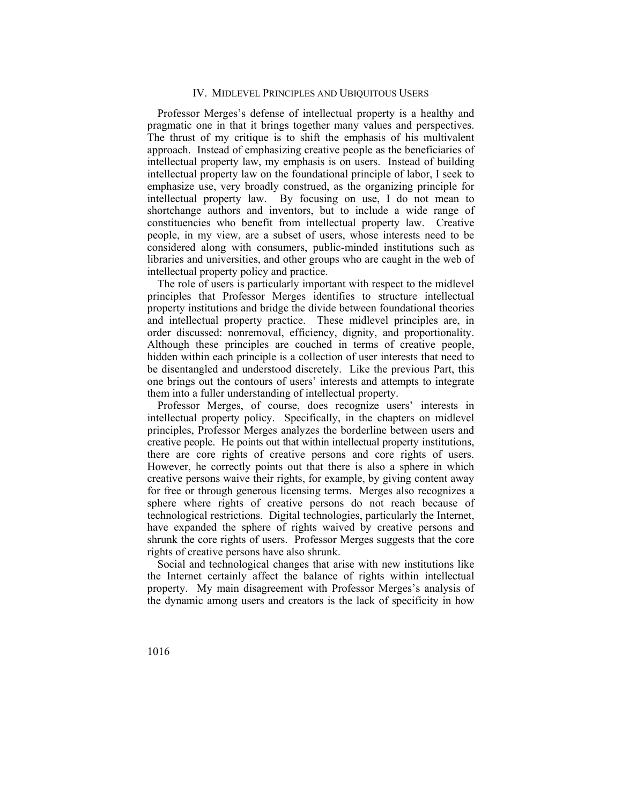#### IV. MIDLEVEL PRINCIPLES AND UBIQUITOUS USERS

Professor Merges's defense of intellectual property is a healthy and pragmatic one in that it brings together many values and perspectives. The thrust of my critique is to shift the emphasis of his multivalent approach. Instead of emphasizing creative people as the beneficiaries of intellectual property law, my emphasis is on users. Instead of building intellectual property law on the foundational principle of labor, I seek to emphasize use, very broadly construed, as the organizing principle for intellectual property law. By focusing on use, I do not mean to shortchange authors and inventors, but to include a wide range of constituencies who benefit from intellectual property law. Creative people, in my view, are a subset of users, whose interests need to be considered along with consumers, public-minded institutions such as libraries and universities, and other groups who are caught in the web of intellectual property policy and practice.

The role of users is particularly important with respect to the midlevel principles that Professor Merges identifies to structure intellectual property institutions and bridge the divide between foundational theories and intellectual property practice. These midlevel principles are, in order discussed: nonremoval, efficiency, dignity, and proportionality. Although these principles are couched in terms of creative people, hidden within each principle is a collection of user interests that need to be disentangled and understood discretely. Like the previous Part, this one brings out the contours of users' interests and attempts to integrate them into a fuller understanding of intellectual property.

 creative people. He points out that within intellectual property institutions, Professor Merges, of course, does recognize users' interests in intellectual property policy. Specifically, in the chapters on midlevel principles, Professor Merges analyzes the borderline between users and there are core rights of creative persons and core rights of users. However, he correctly points out that there is also a sphere in which creative persons waive their rights, for example, by giving content away for free or through generous licensing terms. Merges also recognizes a sphere where rights of creative persons do not reach because of technological restrictions. Digital technologies, particularly the Internet, have expanded the sphere of rights waived by creative persons and shrunk the core rights of users. Professor Merges suggests that the core rights of creative persons have also shrunk.

Social and technological changes that arise with new institutions like the Internet certainly affect the balance of rights within intellectual property. My main disagreement with Professor Merges's analysis of the dynamic among users and creators is the lack of specificity in how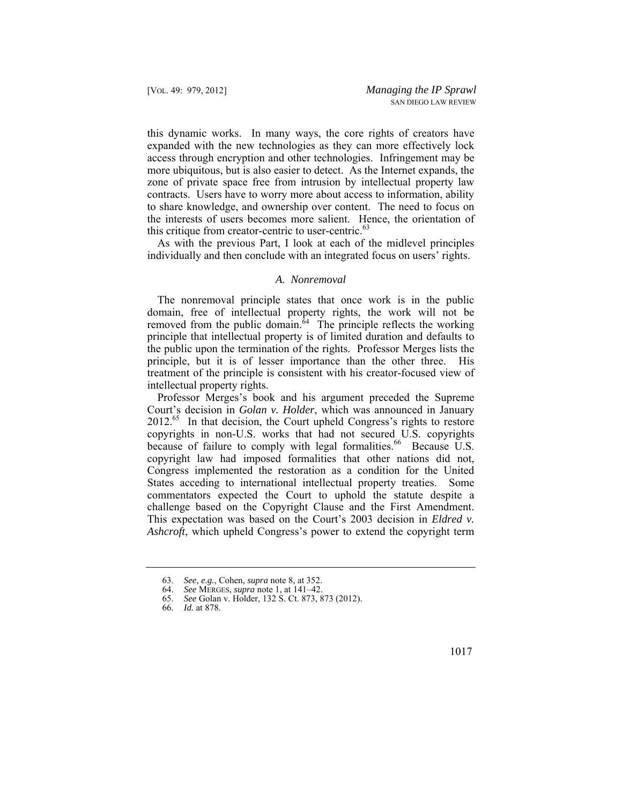this dynamic works. In many ways, the core rights of creators have expanded with the new technologies as they can more effectively lock access through encryption and other technologies. Infringement may be more ubiquitous, but is also easier to detect. As the Internet expands, the zone of private space free from intrusion by intellectual property law contracts. Users have to worry more about access to information, ability to share knowledge, and ownership over content. The need to focus on the interests of users becomes more salient. Hence, the orientation of this critique from creator-centric to user-centric. $63$ 

As with the previous Part, I look at each of the midlevel principles individually and then conclude with an integrated focus on users' rights.

#### *A. Nonremoval*

The nonremoval principle states that once work is in the public domain, free of intellectual property rights, the work will not be removed from the public domain.<sup> $64$ </sup> The principle reflects the working principle that intellectual property is of limited duration and defaults to the public upon the termination of the rights. Professor Merges lists the principle, but it is of lesser importance than the other three. His treatment of the principle is consistent with his creator-focused view of intellectual property rights.

Professor Merges's book and his argument preceded the Supreme Court's decision in *Golan v. Holder*, which was announced in January  $2012<sup>65</sup>$  In that decision, the Court upheld Congress's rights to restore copyrights in non-U.S. works that had not secured U.S. copyrights because of failure to comply with legal formalities.<sup>66</sup> Because U.S. copyright law had imposed formalities that other nations did not, Congress implemented the restoration as a condition for the United States acceding to international intellectual property treaties. Some commentators expected the Court to uphold the statute despite a challenge based on the Copyright Clause and the First Amendment. This expectation was based on the Court's 2003 decision in *Eldred v. Ashcroft*, which upheld Congress's power to extend the copyright term

<sup>63.</sup> *See, e.g.*, Cohen, *supra* note 8, at 352.

<sup>64.</sup> *See* MERGES, *supra* note 1, at 141–42.

<sup>65.</sup> *See* Golan v. Holder, 132 S. Ct. 873, 873 (2012).

<sup>66.</sup> *Id.* at 878.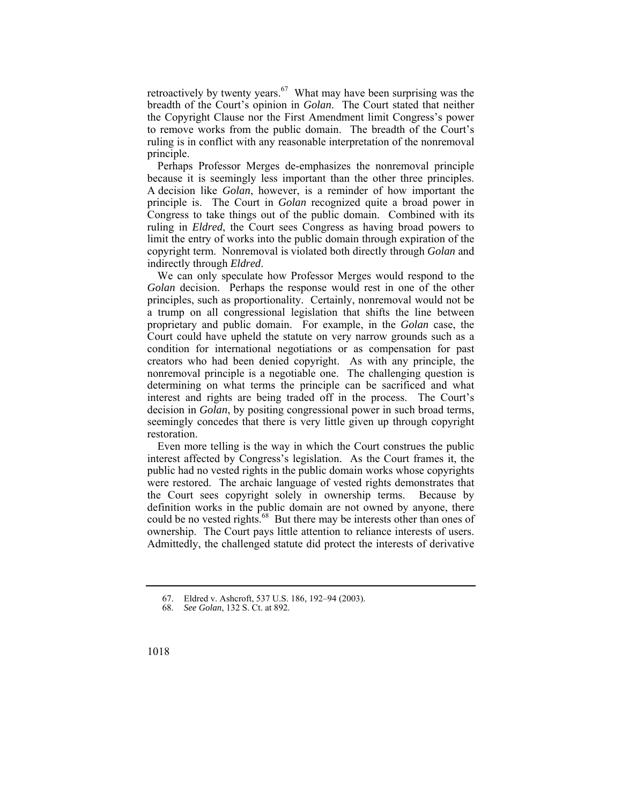retroactively by twenty years. $67$  What may have been surprising was the breadth of the Court's opinion in *Golan*. The Court stated that neither the Copyright Clause nor the First Amendment limit Congress's power to remove works from the public domain. The breadth of the Court's ruling is in conflict with any reasonable interpretation of the nonremoval principle.

Perhaps Professor Merges de-emphasizes the nonremoval principle because it is seemingly less important than the other three principles. A decision like *Golan*, however, is a reminder of how important the principle is. The Court in *Golan* recognized quite a broad power in Congress to take things out of the public domain. Combined with its ruling in *Eldred*, the Court sees Congress as having broad powers to limit the entry of works into the public domain through expiration of the copyright term. Nonremoval is violated both directly through *Golan* and indirectly through *Eldred*.

We can only speculate how Professor Merges would respond to the *Golan* decision. Perhaps the response would rest in one of the other principles, such as proportionality. Certainly, nonremoval would not be a trump on all congressional legislation that shifts the line between proprietary and public domain. For example, in the *Golan* case, the Court could have upheld the statute on very narrow grounds such as a condition for international negotiations or as compensation for past creators who had been denied copyright. As with any principle, the nonremoval principle is a negotiable one. The challenging question is determining on what terms the principle can be sacrificed and what interest and rights are being traded off in the process. The Court's decision in *Golan*, by positing congressional power in such broad terms, seemingly concedes that there is very little given up through copyright restoration.

Even more telling is the way in which the Court construes the public interest affected by Congress's legislation. As the Court frames it, the public had no vested rights in the public domain works whose copyrights were restored. The archaic language of vested rights demonstrates that the Court sees copyright solely in ownership terms. Because by definition works in the public domain are not owned by anyone, there could be no vested rights.<sup>68</sup> But there may be interests other than ones of ownership. The Court pays little attention to reliance interests of users. Admittedly, the challenged statute did protect the interests of derivative

<sup>67.</sup> Eldred v. Ashcroft, 537 U.S. 186, 192–94 (2003).

<sup>68.</sup> *See Golan*, 132 S. Ct. at 892.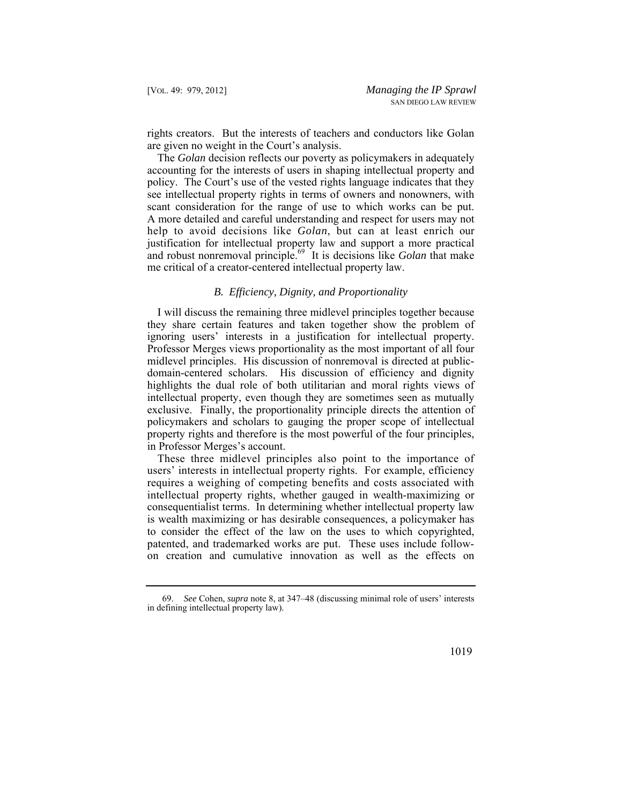rights creators. But the interests of teachers and conductors like Golan are given no weight in the Court's analysis.

 help to avoid decisions like *Golan*, but can at least enrich our The *Golan* decision reflects our poverty as policymakers in adequately accounting for the interests of users in shaping intellectual property and policy. The Court's use of the vested rights language indicates that they see intellectual property rights in terms of owners and nonowners, with scant consideration for the range of use to which works can be put. A more detailed and careful understanding and respect for users may not justification for intellectual property law and support a more practical and robust nonremoval principle.<sup>69</sup> It is decisions like *Golan* that make me critical of a creator-centered intellectual property law.

#### *B. Efficiency, Dignity, and Proportionality*

 they share certain features and taken together show the problem of I will discuss the remaining three midlevel principles together because ignoring users' interests in a justification for intellectual property. Professor Merges views proportionality as the most important of all four midlevel principles. His discussion of nonremoval is directed at publicdomain-centered scholars. His discussion of efficiency and dignity highlights the dual role of both utilitarian and moral rights views of intellectual property, even though they are sometimes seen as mutually exclusive. Finally, the proportionality principle directs the attention of policymakers and scholars to gauging the proper scope of intellectual property rights and therefore is the most powerful of the four principles, in Professor Merges's account.

These three midlevel principles also point to the importance of users' interests in intellectual property rights. For example, efficiency requires a weighing of competing benefits and costs associated with intellectual property rights, whether gauged in wealth-maximizing or consequentialist terms. In determining whether intellectual property law is wealth maximizing or has desirable consequences, a policymaker has to consider the effect of the law on the uses to which copyrighted, patented, and trademarked works are put. These uses include followon creation and cumulative innovation as well as the effects on

<sup>69.</sup> *See* Cohen, *supra* note 8, at 347–48 (discussing minimal role of users' interests in defining intellectual property law).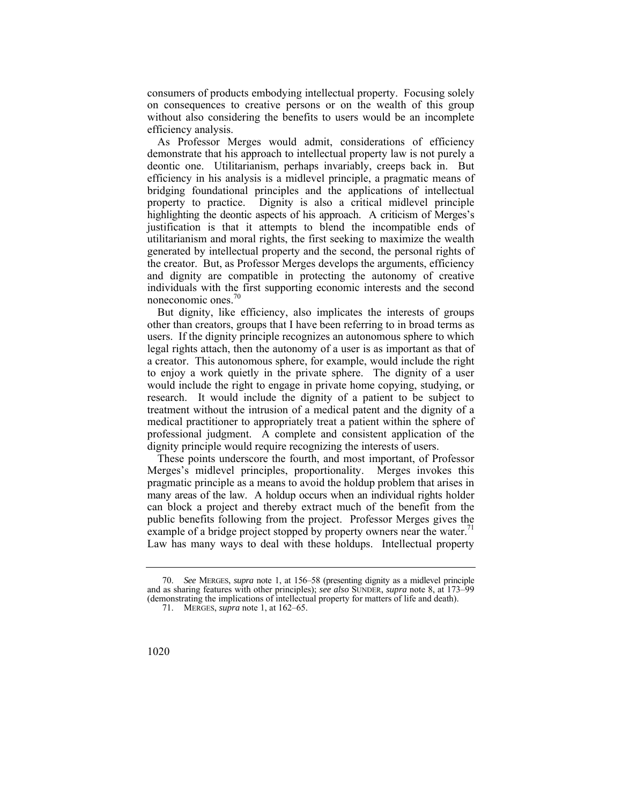consumers of products embodying intellectual property. Focusing solely on consequences to creative persons or on the wealth of this group without also considering the benefits to users would be an incomplete efficiency analysis.

 efficiency in his analysis is a midlevel principle, a pragmatic means of As Professor Merges would admit, considerations of efficiency demonstrate that his approach to intellectual property law is not purely a deontic one. Utilitarianism, perhaps invariably, creeps back in. But bridging foundational principles and the applications of intellectual property to practice. Dignity is also a critical midlevel principle highlighting the deontic aspects of his approach. A criticism of Merges's justification is that it attempts to blend the incompatible ends of utilitarianism and moral rights, the first seeking to maximize the wealth generated by intellectual property and the second, the personal rights of the creator. But, as Professor Merges develops the arguments, efficiency and dignity are compatible in protecting the autonomy of creative individuals with the first supporting economic interests and the second noneconomic ones.<sup>70</sup>

 to enjoy a work quietly in the private sphere. The dignity of a user But dignity, like efficiency, also implicates the interests of groups other than creators, groups that I have been referring to in broad terms as users. If the dignity principle recognizes an autonomous sphere to which legal rights attach, then the autonomy of a user is as important as that of a creator. This autonomous sphere, for example, would include the right would include the right to engage in private home copying, studying, or research. It would include the dignity of a patient to be subject to treatment without the intrusion of a medical patent and the dignity of a medical practitioner to appropriately treat a patient within the sphere of professional judgment. A complete and consistent application of the dignity principle would require recognizing the interests of users.

These points underscore the fourth, and most important, of Professor Merges's midlevel principles, proportionality. Merges invokes this pragmatic principle as a means to avoid the holdup problem that arises in many areas of the law. A holdup occurs when an individual rights holder can block a project and thereby extract much of the benefit from the public benefits following from the project. Professor Merges gives the example of a bridge project stopped by property owners near the water.<sup>71</sup> Law has many ways to deal with these holdups. Intellectual property

<sup>70.</sup> *See* MERGES, *supra* note 1, at 156–58 (presenting dignity as a midlevel principle and as sharing features with other principles); *see also* SUNDER, *supra* note 8, at 173–99 (demonstrating the implications of intellectual property for matters of life and death).

<sup>71.</sup> MERGES, *supra* note 1, at 162–65.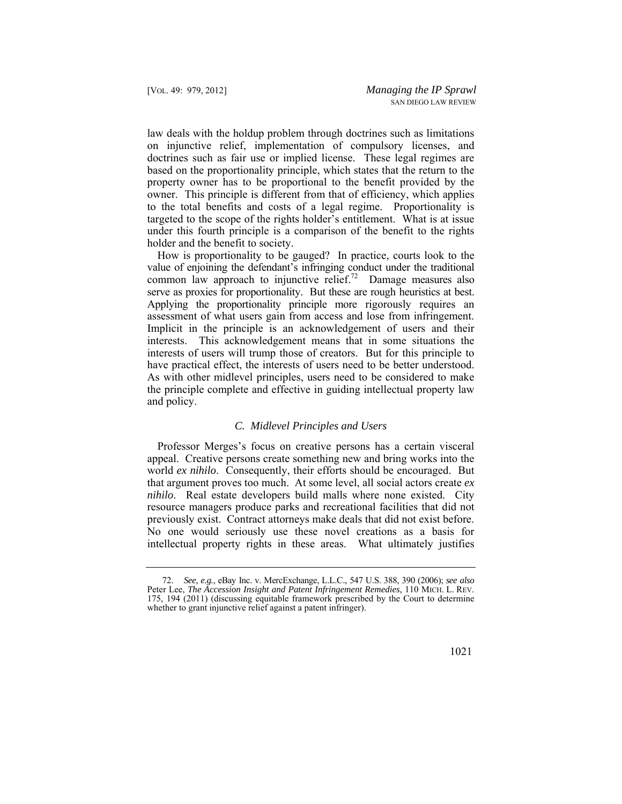law deals with the holdup problem through doctrines such as limitations on injunctive relief, implementation of compulsory licenses, and doctrines such as fair use or implied license. These legal regimes are based on the proportionality principle, which states that the return to the property owner has to be proportional to the benefit provided by the owner. This principle is different from that of efficiency, which applies to the total benefits and costs of a legal regime. Proportionality is targeted to the scope of the rights holder's entitlement. What is at issue under this fourth principle is a comparison of the benefit to the rights holder and the benefit to society.

 Applying the proportionality principle more rigorously requires an How is proportionality to be gauged? In practice, courts look to the value of enjoining the defendant's infringing conduct under the traditional common law approach to injunctive relief.<sup>72</sup> Damage measures also serve as proxies for proportionality. But these are rough heuristics at best. assessment of what users gain from access and lose from infringement. Implicit in the principle is an acknowledgement of users and their interests. This acknowledgement means that in some situations the interests of users will trump those of creators. But for this principle to have practical effect, the interests of users need to be better understood. As with other midlevel principles, users need to be considered to make the principle complete and effective in guiding intellectual property law and policy.

### *C. Midlevel Principles and Users*

Professor Merges's focus on creative persons has a certain visceral appeal. Creative persons create something new and bring works into the world *ex nihilo*. Consequently, their efforts should be encouraged. But that argument proves too much. At some level, all social actors create *ex nihilo*. Real estate developers build malls where none existed. City resource managers produce parks and recreational facilities that did not previously exist. Contract attorneys make deals that did not exist before. No one would seriously use these novel creations as a basis for intellectual property rights in these areas. What ultimately justifies

 Peter Lee, *The Accession Insight and Patent Infringement Remedies*, 110 MICH. L. REV. 72. *See, e.g.*, eBay Inc. v. MercExchange, L.L.C., 547 U.S. 388, 390 (2006); *see also*  175, 194 (2011) (discussing equitable framework prescribed by the Court to determine whether to grant injunctive relief against a patent infringer).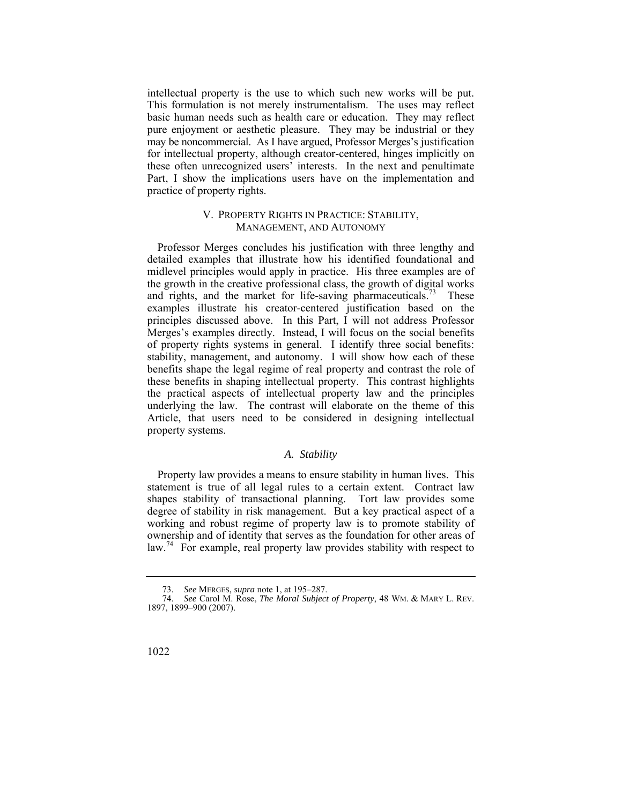intellectual property is the use to which such new works will be put. This formulation is not merely instrumentalism. The uses may reflect basic human needs such as health care or education. They may reflect pure enjoyment or aesthetic pleasure. They may be industrial or they may be noncommercial. As I have argued, Professor Merges's justification for intellectual property, although creator-centered, hinges implicitly on these often unrecognized users' interests. In the next and penultimate Part, I show the implications users have on the implementation and practice of property rights.

## V. PROPERTY RIGHTS IN PRACTICE: STABILITY, MANAGEMENT, AND AUTONOMY

 Professor Merges concludes his justification with three lengthy and detailed examples that illustrate how his identified foundational and midlevel principles would apply in practice. His three examples are of the growth in the creative professional class, the growth of digital works and rights, and the market for life-saving pharmaceuticals.<sup>73</sup> These examples illustrate his creator-centered justification based on the principles discussed above. In this Part, I will not address Professor Merges's examples directly. Instead, I will focus on the social benefits of property rights systems in general. I identify three social benefits: stability, management, and autonomy. I will show how each of these benefits shape the legal regime of real property and contrast the role of these benefits in shaping intellectual property. This contrast highlights the practical aspects of intellectual property law and the principles underlying the law. The contrast will elaborate on the theme of this Article, that users need to be considered in designing intellectual property systems.

#### *A. Stability*

Property law provides a means to ensure stability in human lives. This statement is true of all legal rules to a certain extent. Contract law shapes stability of transactional planning. Tort law provides some degree of stability in risk management. But a key practical aspect of a working and robust regime of property law is to promote stability of ownership and of identity that serves as the foundation for other areas of law.<sup>74</sup> For example, real property law provides stability with respect to

<sup>73.</sup> *See* MERGES, *supra* note 1, at 195–287.

<sup>74.</sup> *See* Carol M. Rose, *The Moral Subject of Property*, 48 WM. & MARY L. REV. 1897, 1899–900 (2007).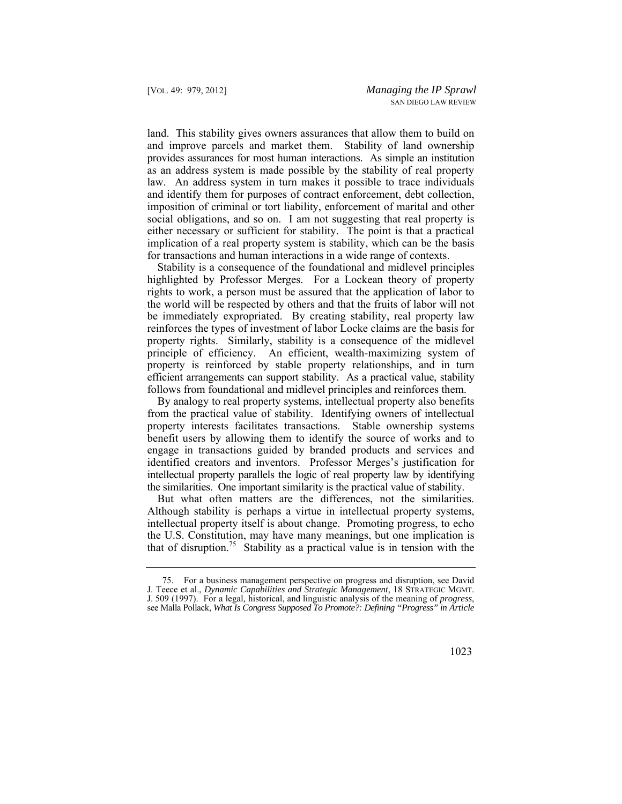land. This stability gives owners assurances that allow them to build on and improve parcels and market them. Stability of land ownership provides assurances for most human interactions. As simple an institution as an address system is made possible by the stability of real property law. An address system in turn makes it possible to trace individuals and identify them for purposes of contract enforcement, debt collection, imposition of criminal or tort liability, enforcement of marital and other social obligations, and so on. I am not suggesting that real property is either necessary or sufficient for stability. The point is that a practical implication of a real property system is stability, which can be the basis for transactions and human interactions in a wide range of contexts.

Stability is a consequence of the foundational and midlevel principles highlighted by Professor Merges. For a Lockean theory of property rights to work, a person must be assured that the application of labor to the world will be respected by others and that the fruits of labor will not be immediately expropriated. By creating stability, real property law reinforces the types of investment of labor Locke claims are the basis for property rights. Similarly, stability is a consequence of the midlevel principle of efficiency. An efficient, wealth-maximizing system of property is reinforced by stable property relationships, and in turn efficient arrangements can support stability. As a practical value, stability follows from foundational and midlevel principles and reinforces them.

By analogy to real property systems, intellectual property also benefits from the practical value of stability. Identifying owners of intellectual property interests facilitates transactions. Stable ownership systems benefit users by allowing them to identify the source of works and to engage in transactions guided by branded products and services and identified creators and inventors. Professor Merges's justification for intellectual property parallels the logic of real property law by identifying the similarities. One important similarity is the practical value of stability.

But what often matters are the differences, not the similarities. Although stability is perhaps a virtue in intellectual property systems, intellectual property itself is about change. Promoting progress, to echo the U.S. Constitution, may have many meanings, but one implication is that of disruption.<sup>75</sup> Stability as a practical value is in tension with the

 J. Teece et al., *Dynamic Capabilities and Strategic Management*, 18 STRATEGIC MGMT. 75. For a business management perspective on progress and disruption, see David J. 509 (1997). For a legal, historical, and linguistic analysis of the meaning of *progress*, see Malla Pollack, *What Is Congress Supposed To Promote?: Defining "Progress" in Article*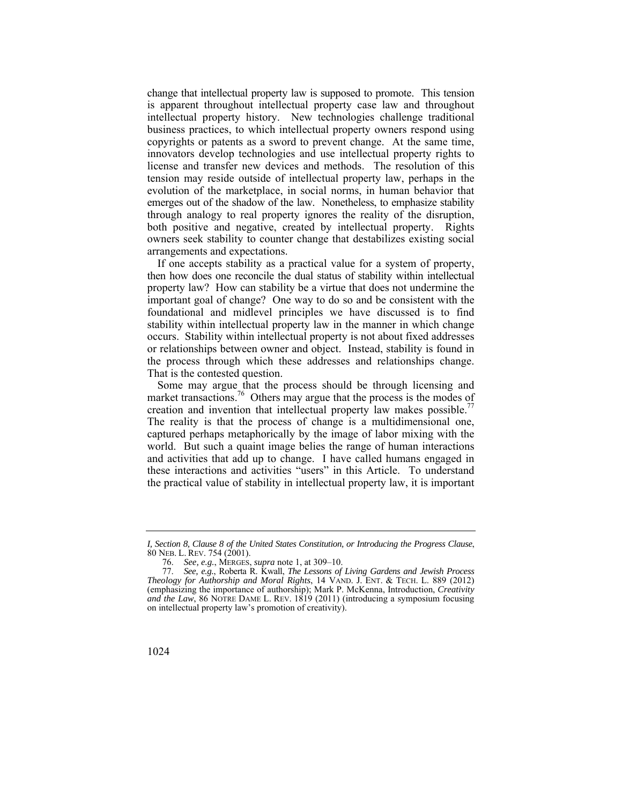emerges out of the shadow of the law. Nonetheless, to emphasize stability both positive and negative, created by intellectual property. Rights change that intellectual property law is supposed to promote. This tension is apparent throughout intellectual property case law and throughout intellectual property history. New technologies challenge traditional business practices, to which intellectual property owners respond using copyrights or patents as a sword to prevent change. At the same time, innovators develop technologies and use intellectual property rights to license and transfer new devices and methods. The resolution of this tension may reside outside of intellectual property law, perhaps in the evolution of the marketplace, in social norms, in human behavior that through analogy to real property ignores the reality of the disruption, owners seek stability to counter change that destabilizes existing social arrangements and expectations.

If one accepts stability as a practical value for a system of property, then how does one reconcile the dual status of stability within intellectual property law? How can stability be a virtue that does not undermine the important goal of change? One way to do so and be consistent with the foundational and midlevel principles we have discussed is to find stability within intellectual property law in the manner in which change occurs. Stability within intellectual property is not about fixed addresses or relationships between owner and object. Instead, stability is found in the process through which these addresses and relationships change. That is the contested question.

creation and invention that intellectual property law makes possible.<sup>77</sup> Some may argue that the process should be through licensing and market transactions.<sup>76</sup> Others may argue that the process is the modes of The reality is that the process of change is a multidimensional one, captured perhaps metaphorically by the image of labor mixing with the world. But such a quaint image belies the range of human interactions and activities that add up to change. I have called humans engaged in these interactions and activities "users" in this Article. To understand the practical value of stability in intellectual property law, it is important

 80 NEB. L. REV. 754 (2001). *I, Section 8, Clause 8 of the United States Constitution, or Introducing the Progress Clause*,

<sup>76.</sup> *See, e.g.*, MERGES, *supra* note 1, at 309–10.

 *Theology for Authorship and Moral Rights*, 14 VAND. J. ENT. & TECH. L. 889 (2012) *and the Law*, 86 NOTRE DAME L. REV. 1819 (2011) (introducing a symposium focusing 77. *See, e.g.*, Roberta R. Kwall, *The Lessons of Living Gardens and Jewish Process*  (emphasizing the importance of authorship); Mark P. McKenna, Introduction, *Creativity*  on intellectual property law's promotion of creativity).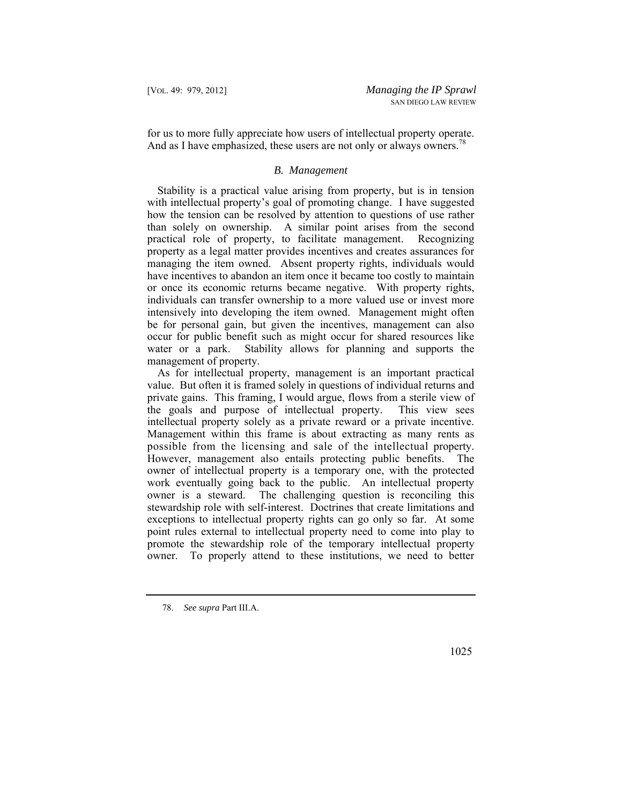for us to more fully appreciate how users of intellectual property operate. And as I have emphasized, these users are not only or always owners.<sup>78</sup>

## *B. Management*

 or once its economic returns became negative. With property rights, Stability is a practical value arising from property, but is in tension with intellectual property's goal of promoting change. I have suggested how the tension can be resolved by attention to questions of use rather than solely on ownership. A similar point arises from the second practical role of property, to facilitate management. Recognizing property as a legal matter provides incentives and creates assurances for managing the item owned. Absent property rights, individuals would have incentives to abandon an item once it became too costly to maintain individuals can transfer ownership to a more valued use or invest more intensively into developing the item owned. Management might often be for personal gain, but given the incentives, management can also occur for public benefit such as might occur for shared resources like water or a park. Stability allows for planning and supports the management of property.

 possible from the licensing and sale of the intellectual property. As for intellectual property, management is an important practical value. But often it is framed solely in questions of individual returns and private gains. This framing, I would argue, flows from a sterile view of the goals and purpose of intellectual property. This view sees intellectual property solely as a private reward or a private incentive. Management within this frame is about extracting as many rents as However, management also entails protecting public benefits. The owner of intellectual property is a temporary one, with the protected work eventually going back to the public. An intellectual property owner is a steward. The challenging question is reconciling this stewardship role with self-interest. Doctrines that create limitations and exceptions to intellectual property rights can go only so far. At some point rules external to intellectual property need to come into play to promote the stewardship role of the temporary intellectual property owner. To properly attend to these institutions, we need to better

<sup>78.</sup> *See supra* Part III.A.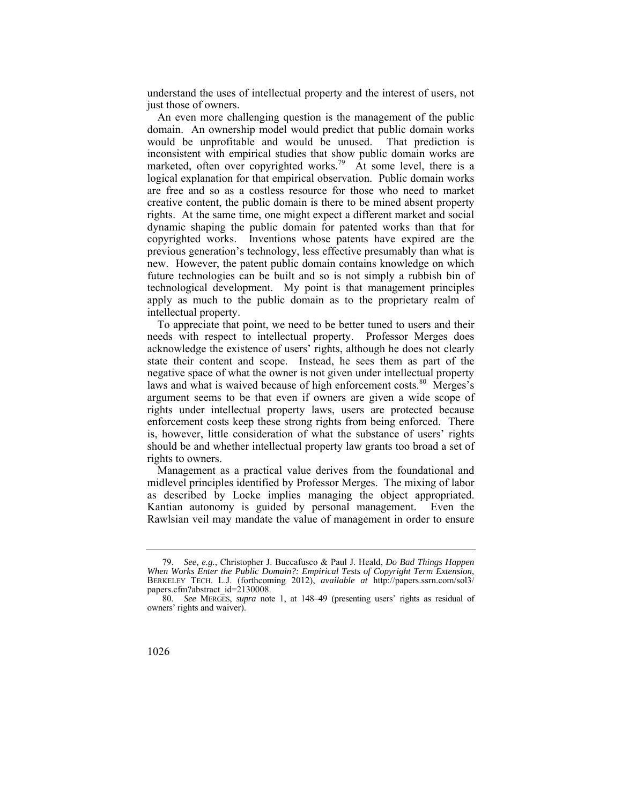understand the uses of intellectual property and the interest of users, not just those of owners.

An even more challenging question is the management of the public domain. An ownership model would predict that public domain works would be unprofitable and would be unused. That prediction is inconsistent with empirical studies that show public domain works are marketed, often over copyrighted works.<sup>79</sup> At some level, there is a logical explanation for that empirical observation. Public domain works are free and so as a costless resource for those who need to market creative content, the public domain is there to be mined absent property rights. At the same time, one might expect a different market and social dynamic shaping the public domain for patented works than that for copyrighted works. Inventions whose patents have expired are the previous generation's technology, less effective presumably than what is new. However, the patent public domain contains knowledge on which future technologies can be built and so is not simply a rubbish bin of technological development. My point is that management principles apply as much to the public domain as to the proprietary realm of intellectual property.

To appreciate that point, we need to be better tuned to users and their needs with respect to intellectual property. Professor Merges does acknowledge the existence of users' rights, although he does not clearly state their content and scope. Instead, he sees them as part of the negative space of what the owner is not given under intellectual property laws and what is waived because of high enforcement costs.<sup>80</sup> Merges's argument seems to be that even if owners are given a wide scope of rights under intellectual property laws, users are protected because enforcement costs keep these strong rights from being enforced. There is, however, little consideration of what the substance of users' rights should be and whether intellectual property law grants too broad a set of rights to owners.

Management as a practical value derives from the foundational and midlevel principles identified by Professor Merges. The mixing of labor as described by Locke implies managing the object appropriated. Kantian autonomy is guided by personal management. Even the Rawlsian veil may mandate the value of management in order to ensure

<sup>79.</sup> *See, e.g.*, Christopher J. Buccafusco & Paul J. Heald, *Do Bad Things Happen When Works Enter the Public Domain?: Empirical Tests of Copyright Term Extension*, BERKELEY TECH. L.J. (forthcoming 2012), *available at* http://papers.ssrn.com/sol3/ papers.cfm?abstract\_id=2130008.

<sup>80.</sup> *See* MERGES, *supra* note 1, at 148–49 (presenting users' rights as residual of owners' rights and waiver).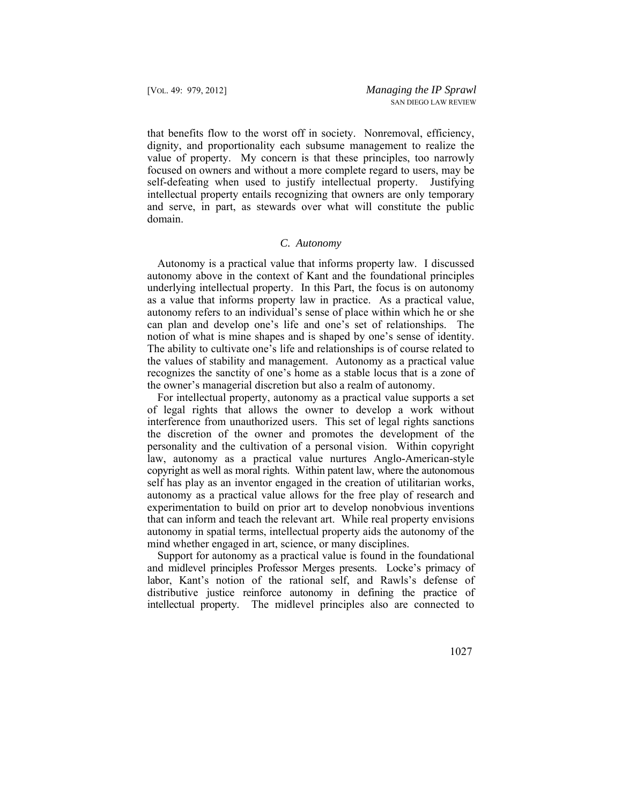that benefits flow to the worst off in society. Nonremoval, efficiency, dignity, and proportionality each subsume management to realize the value of property. My concern is that these principles, too narrowly focused on owners and without a more complete regard to users, may be self-defeating when used to justify intellectual property. Justifying intellectual property entails recognizing that owners are only temporary and serve, in part, as stewards over what will constitute the public domain.

## *C. Autonomy*

 recognizes the sanctity of one's home as a stable locus that is a zone of Autonomy is a practical value that informs property law. I discussed autonomy above in the context of Kant and the foundational principles underlying intellectual property. In this Part, the focus is on autonomy as a value that informs property law in practice. As a practical value, autonomy refers to an individual's sense of place within which he or she can plan and develop one's life and one's set of relationships. The notion of what is mine shapes and is shaped by one's sense of identity. The ability to cultivate one's life and relationships is of course related to the values of stability and management. Autonomy as a practical value the owner's managerial discretion but also a realm of autonomy.

 copyright as well as moral rights. Within patent law, where the autonomous For intellectual property, autonomy as a practical value supports a set of legal rights that allows the owner to develop a work without interference from unauthorized users. This set of legal rights sanctions the discretion of the owner and promotes the development of the personality and the cultivation of a personal vision. Within copyright law, autonomy as a practical value nurtures Anglo-American-style self has play as an inventor engaged in the creation of utilitarian works, autonomy as a practical value allows for the free play of research and experimentation to build on prior art to develop nonobvious inventions that can inform and teach the relevant art. While real property envisions autonomy in spatial terms, intellectual property aids the autonomy of the mind whether engaged in art, science, or many disciplines.

Support for autonomy as a practical value is found in the foundational and midlevel principles Professor Merges presents. Locke's primacy of labor, Kant's notion of the rational self, and Rawls's defense of distributive justice reinforce autonomy in defining the practice of intellectual property. The midlevel principles also are connected to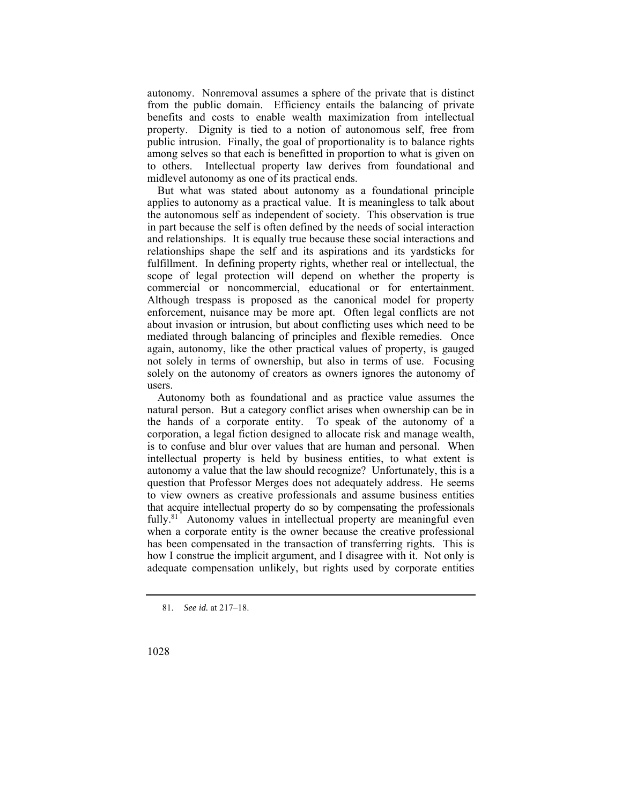autonomy. Nonremoval assumes a sphere of the private that is distinct from the public domain. Efficiency entails the balancing of private benefits and costs to enable wealth maximization from intellectual property. Dignity is tied to a notion of autonomous self, free from public intrusion. Finally, the goal of proportionality is to balance rights among selves so that each is benefitted in proportion to what is given on to others. Intellectual property law derives from foundational and midlevel autonomy as one of its practical ends.

But what was stated about autonomy as a foundational principle applies to autonomy as a practical value. It is meaningless to talk about the autonomous self as independent of society. This observation is true in part because the self is often defined by the needs of social interaction and relationships. It is equally true because these social interactions and relationships shape the self and its aspirations and its yardsticks for fulfillment. In defining property rights, whether real or intellectual, the scope of legal protection will depend on whether the property is commercial or noncommercial, educational or for entertainment. Although trespass is proposed as the canonical model for property enforcement, nuisance may be more apt. Often legal conflicts are not about invasion or intrusion, but about conflicting uses which need to be mediated through balancing of principles and flexible remedies. Once again, autonomy, like the other practical values of property, is gauged not solely in terms of ownership, but also in terms of use. Focusing solely on the autonomy of creators as owners ignores the autonomy of users.

Autonomy both as foundational and as practice value assumes the natural person. But a category conflict arises when ownership can be in the hands of a corporate entity. To speak of the autonomy of a corporation, a legal fiction designed to allocate risk and manage wealth, is to confuse and blur over values that are human and personal. When intellectual property is held by business entities, to what extent is autonomy a value that the law should recognize? Unfortunately, this is a question that Professor Merges does not adequately address. He seems to view owners as creative professionals and assume business entities that acquire intellectual property do so by compensating the professionals  $fully.<sup>81</sup>$  Autonomy values in intellectual property are meaningful even when a corporate entity is the owner because the creative professional has been compensated in the transaction of transferring rights. This is how I construe the implicit argument, and I disagree with it. Not only is adequate compensation unlikely, but rights used by corporate entities

<sup>81.</sup> *See id.* at 217–18.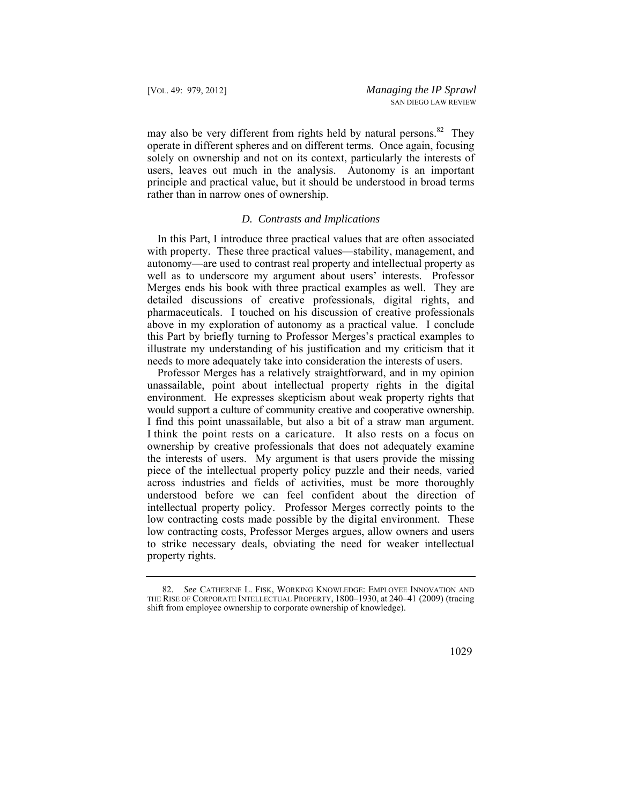may also be very different from rights held by natural persons.<sup>82</sup> They operate in different spheres and on different terms. Once again, focusing solely on ownership and not on its context, particularly the interests of users, leaves out much in the analysis. Autonomy is an important principle and practical value, but it should be understood in broad terms rather than in narrow ones of ownership.

## *D. Contrasts and Implications*

In this Part, I introduce three practical values that are often associated with property. These three practical values—stability, management, and autonomy—are used to contrast real property and intellectual property as well as to underscore my argument about users' interests. Professor Merges ends his book with three practical examples as well. They are detailed discussions of creative professionals, digital rights, and pharmaceuticals. I touched on his discussion of creative professionals above in my exploration of autonomy as a practical value. I conclude this Part by briefly turning to Professor Merges's practical examples to illustrate my understanding of his justification and my criticism that it needs to more adequately take into consideration the interests of users.

 I think the point rests on a caricature. It also rests on a focus on Professor Merges has a relatively straightforward, and in my opinion unassailable, point about intellectual property rights in the digital environment. He expresses skepticism about weak property rights that would support a culture of community creative and cooperative ownership. I find this point unassailable, but also a bit of a straw man argument. ownership by creative professionals that does not adequately examine the interests of users. My argument is that users provide the missing piece of the intellectual property policy puzzle and their needs, varied across industries and fields of activities, must be more thoroughly understood before we can feel confident about the direction of intellectual property policy. Professor Merges correctly points to the low contracting costs made possible by the digital environment. These low contracting costs, Professor Merges argues, allow owners and users to strike necessary deals, obviating the need for weaker intellectual property rights.

 82. *See* CATHERINE L. FISK, WORKING KNOWLEDGE: EMPLOYEE INNOVATION AND THE RISE OF CORPORATE INTELLECTUAL PROPERTY, 1800–1930, at 240–41 (2009) (tracing shift from employee ownership to corporate ownership of knowledge).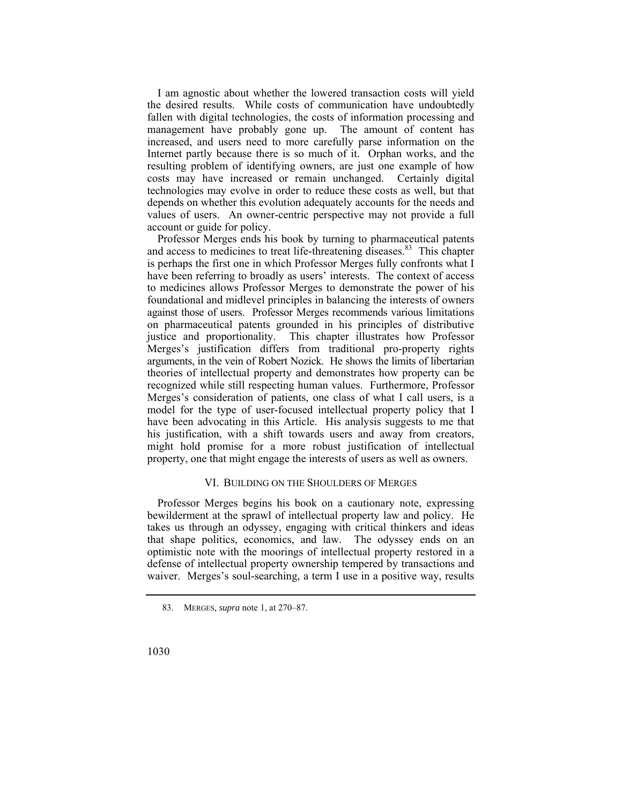I am agnostic about whether the lowered transaction costs will yield the desired results. While costs of communication have undoubtedly fallen with digital technologies, the costs of information processing and management have probably gone up. The amount of content has increased, and users need to more carefully parse information on the Internet partly because there is so much of it. Orphan works, and the resulting problem of identifying owners, are just one example of how costs may have increased or remain unchanged. Certainly digital technologies may evolve in order to reduce these costs as well, but that depends on whether this evolution adequately accounts for the needs and values of users. An owner-centric perspective may not provide a full account or guide for policy.

 against those of users. Professor Merges recommends various limitations Professor Merges ends his book by turning to pharmaceutical patents and access to medicines to treat life-threatening [diseases.](https://diseases.83)<sup>83</sup> This chapter is perhaps the first one in which Professor Merges fully confronts what I have been referring to broadly as users' interests. The context of access to medicines allows Professor Merges to demonstrate the power of his foundational and midlevel principles in balancing the interests of owners on pharmaceutical patents grounded in his principles of distributive justice and proportionality. This chapter illustrates how Professor Merges's justification differs from traditional pro-property rights arguments, in the vein of Robert Nozick. He shows the limits of libertarian theories of intellectual property and demonstrates how property can be recognized while still respecting human values. Furthermore, Professor Merges's consideration of patients, one class of what I call users, is a model for the type of user-focused intellectual property policy that I have been advocating in this Article. His analysis suggests to me that his justification, with a shift towards users and away from creators, might hold promise for a more robust justification of intellectual property, one that might engage the interests of users as well as owners.

## VI. BUILDING ON THE SHOULDERS OF MERGES

Professor Merges begins his book on a cautionary note, expressing bewilderment at the sprawl of intellectual property law and policy. He takes us through an odyssey, engaging with critical thinkers and ideas that shape politics, economics, and law. The odyssey ends on an optimistic note with the moorings of intellectual property restored in a defense of intellectual property ownership tempered by transactions and waiver. Merges's soul-searching, a term I use in a positive way, results

<sup>83.</sup> MERGES, *supra* note 1, at 270–87.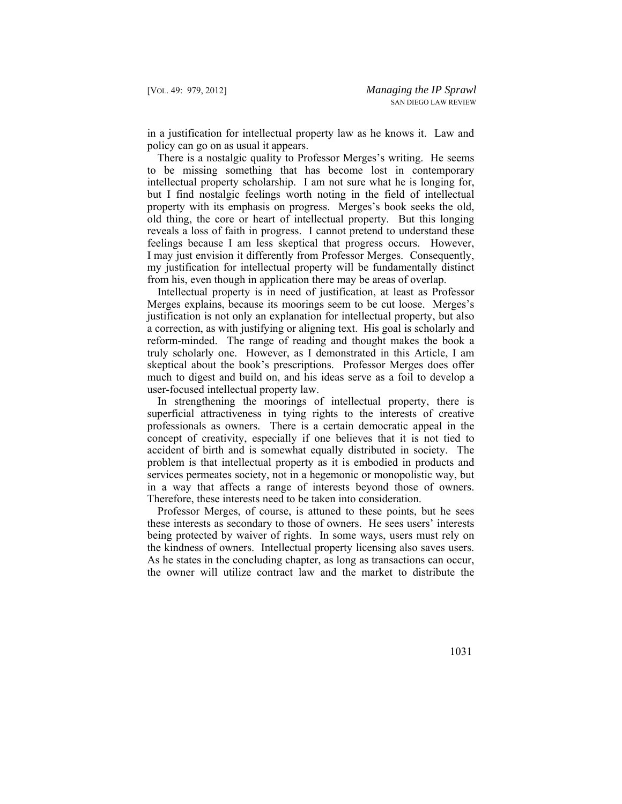in a justification for intellectual property law as he knows it. Law and policy can go on as usual it appears.

There is a nostalgic quality to Professor Merges's writing. He seems to be missing something that has become lost in contemporary intellectual property scholarship. I am not sure what he is longing for, but I find nostalgic feelings worth noting in the field of intellectual property with its emphasis on progress. Merges's book seeks the old, old thing, the core or heart of intellectual property. But this longing reveals a loss of faith in progress. I cannot pretend to understand these feelings because I am less skeptical that progress occurs. However, I may just envision it differently from Professor Merges. Consequently, my justification for intellectual property will be fundamentally distinct from his, even though in application there may be areas of overlap.

Intellectual property is in need of justification, at least as Professor Merges explains, because its moorings seem to be cut loose. Merges's justification is not only an explanation for intellectual property, but also a correction, as with justifying or aligning text. His goal is scholarly and reform-minded. The range of reading and thought makes the book a truly scholarly one. However, as I demonstrated in this Article, I am skeptical about the book's prescriptions. Professor Merges does offer much to digest and build on, and his ideas serve as a foil to develop a user-focused intellectual property law.

In strengthening the moorings of intellectual property, there is superficial attractiveness in tying rights to the interests of creative professionals as owners. There is a certain democratic appeal in the concept of creativity, especially if one believes that it is not tied to accident of birth and is somewhat equally distributed in society. The problem is that intellectual property as it is embodied in products and services permeates society, not in a hegemonic or monopolistic way, but in a way that affects a range of interests beyond those of owners. Therefore, these interests need to be taken into consideration.

Professor Merges, of course, is attuned to these points, but he sees these interests as secondary to those of owners. He sees users' interests being protected by waiver of rights. In some ways, users must rely on the kindness of owners. Intellectual property licensing also saves users. As he states in the concluding chapter, as long as transactions can occur, the owner will utilize contract law and the market to distribute the